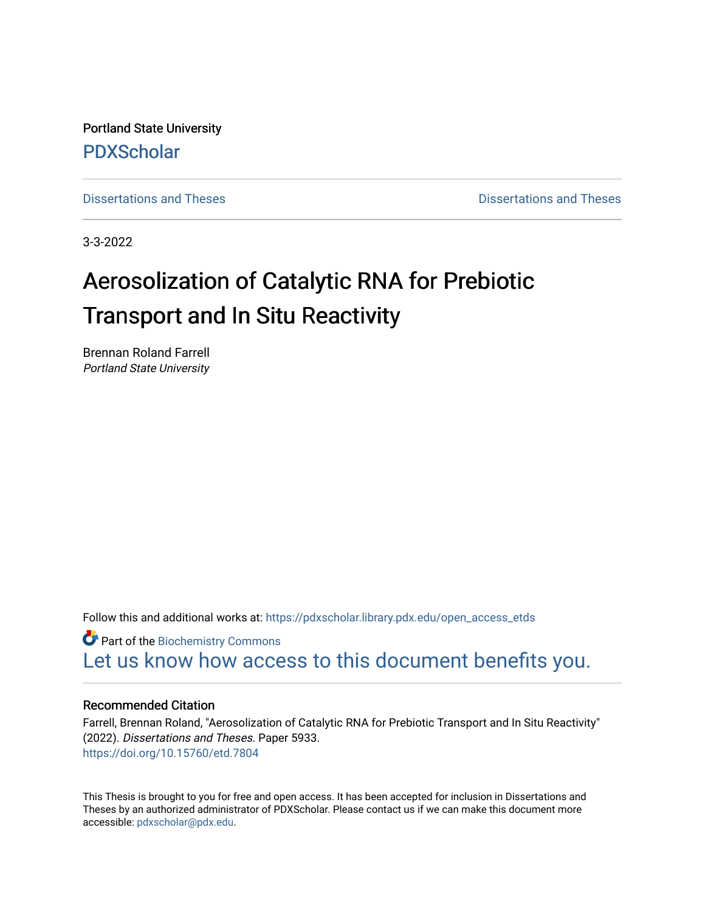Portland State University [PDXScholar](https://pdxscholar.library.pdx.edu/)

[Dissertations and Theses](https://pdxscholar.library.pdx.edu/open_access_etds) **Dissertations and Theses** Dissertations and Theses

3-3-2022

# Aerosolization of Catalytic RNA for Prebiotic Transport and In Situ Reactivity

Brennan Roland Farrell Portland State University

Follow this and additional works at: [https://pdxscholar.library.pdx.edu/open\\_access\\_etds](https://pdxscholar.library.pdx.edu/open_access_etds?utm_source=pdxscholar.library.pdx.edu%2Fopen_access_etds%2F5933&utm_medium=PDF&utm_campaign=PDFCoverPages)

**Part of the Biochemistry Commons** [Let us know how access to this document benefits you.](http://library.pdx.edu/services/pdxscholar-services/pdxscholar-feedback/) 

### Recommended Citation

Farrell, Brennan Roland, "Aerosolization of Catalytic RNA for Prebiotic Transport and In Situ Reactivity" (2022). Dissertations and Theses. Paper 5933. <https://doi.org/10.15760/etd.7804>

This Thesis is brought to you for free and open access. It has been accepted for inclusion in Dissertations and Theses by an authorized administrator of PDXScholar. Please contact us if we can make this document more accessible: [pdxscholar@pdx.edu.](mailto:pdxscholar@pdx.edu)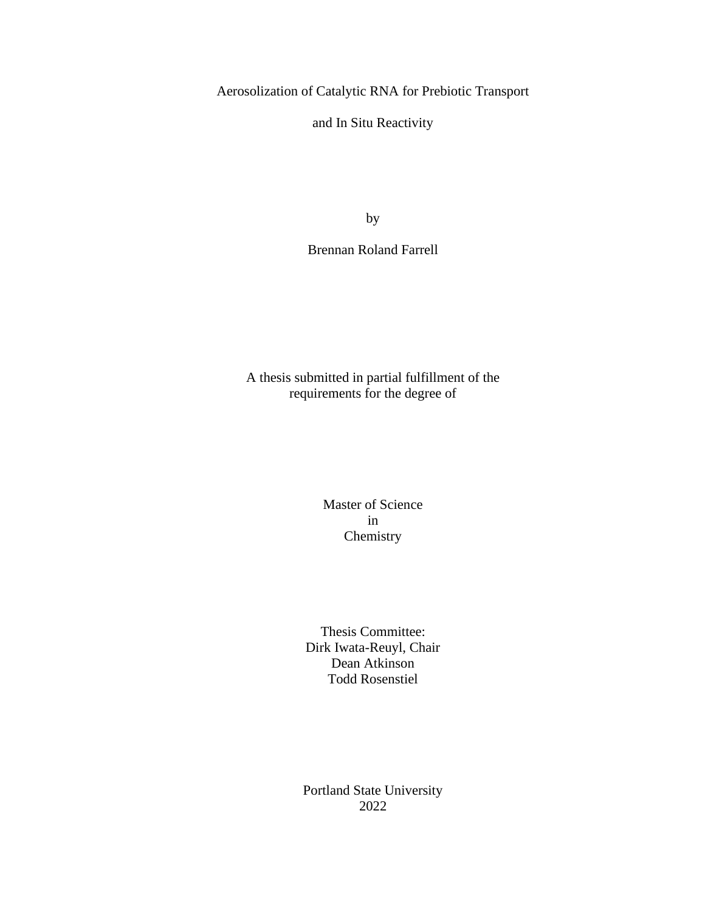Aerosolization of Catalytic RNA for Prebiotic Transport

and In Situ Reactivity

by

Brennan Roland Farrell

A thesis submitted in partial fulfillment of the requirements for the degree of

> Master of Science in Chemistry

Thesis Committee: Dirk Iwata-Reuyl, Chair Dean Atkinson Todd Rosenstiel

Portland State University 2022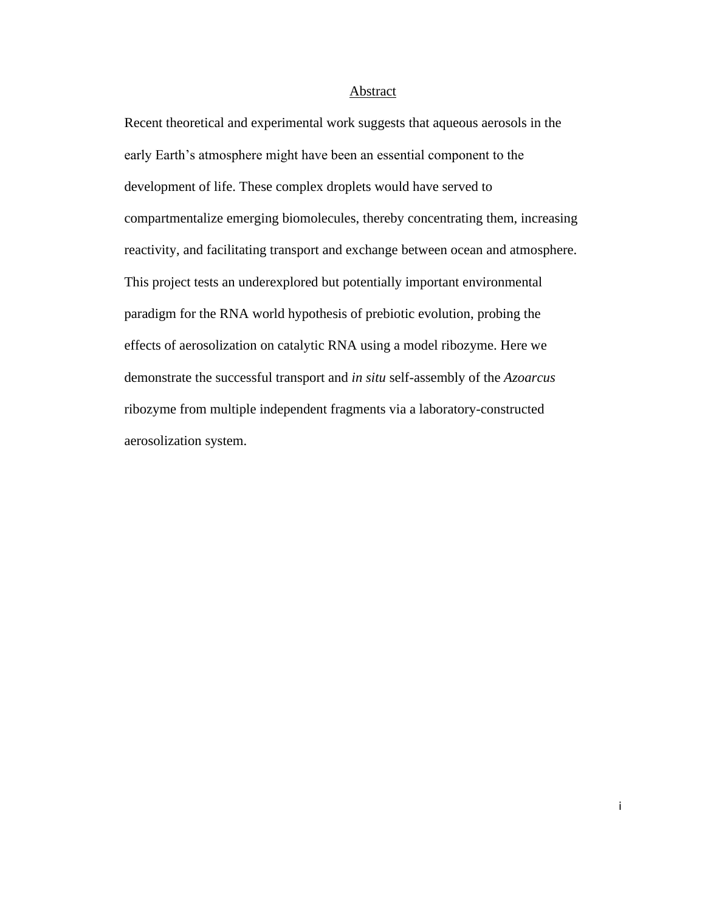#### **Abstract**

Recent theoretical and experimental work suggests that aqueous aerosols in the early Earth's atmosphere might have been an essential component to the development of life. These complex droplets would have served to compartmentalize emerging biomolecules, thereby concentrating them, increasing reactivity, and facilitating transport and exchange between ocean and atmosphere. This project tests an underexplored but potentially important environmental paradigm for the RNA world hypothesis of prebiotic evolution, probing the effects of aerosolization on catalytic RNA using a model ribozyme. Here we demonstrate the successful transport and *in situ* self-assembly of the *Azoarcus* ribozyme from multiple independent fragments via a laboratory-constructed aerosolization system.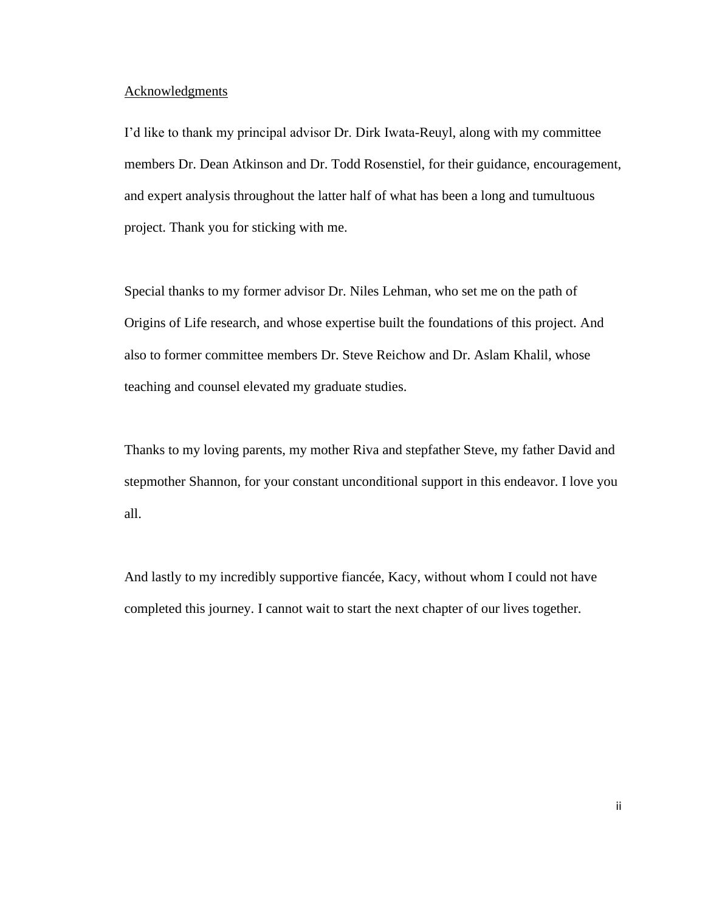#### **Acknowledgments**

I'd like to thank my principal advisor Dr. Dirk Iwata-Reuyl, along with my committee members Dr. Dean Atkinson and Dr. Todd Rosenstiel, for their guidance, encouragement, and expert analysis throughout the latter half of what has been a long and tumultuous project. Thank you for sticking with me.

Special thanks to my former advisor Dr. Niles Lehman, who set me on the path of Origins of Life research, and whose expertise built the foundations of this project. And also to former committee members Dr. Steve Reichow and Dr. Aslam Khalil, whose teaching and counsel elevated my graduate studies.

Thanks to my loving parents, my mother Riva and stepfather Steve, my father David and stepmother Shannon, for your constant unconditional support in this endeavor. I love you all.

And lastly to my incredibly supportive fiancée, Kacy, without whom I could not have completed this journey. I cannot wait to start the next chapter of our lives together.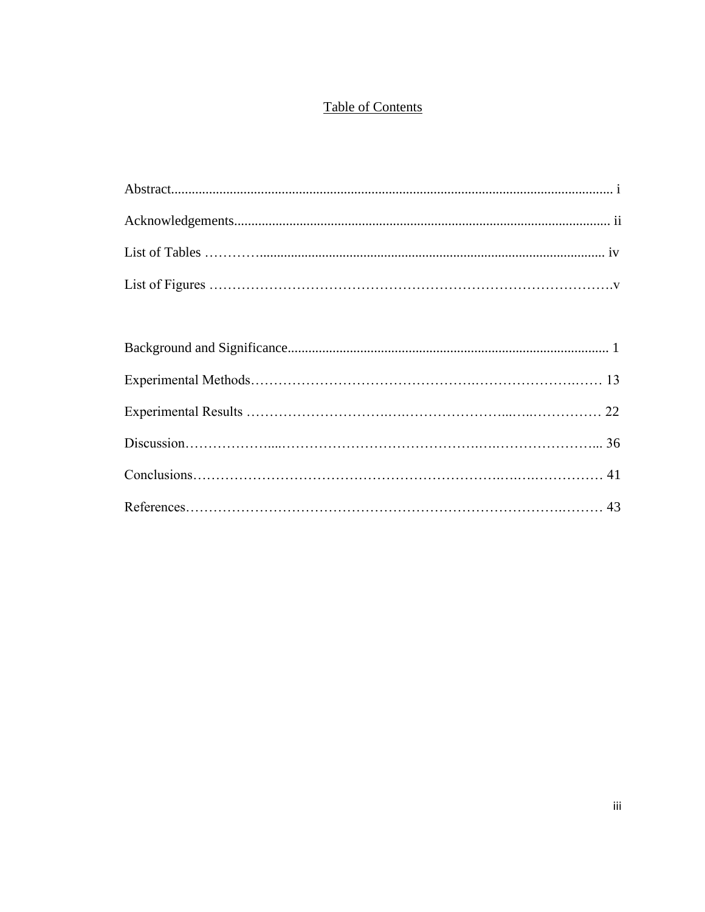# **Table of Contents**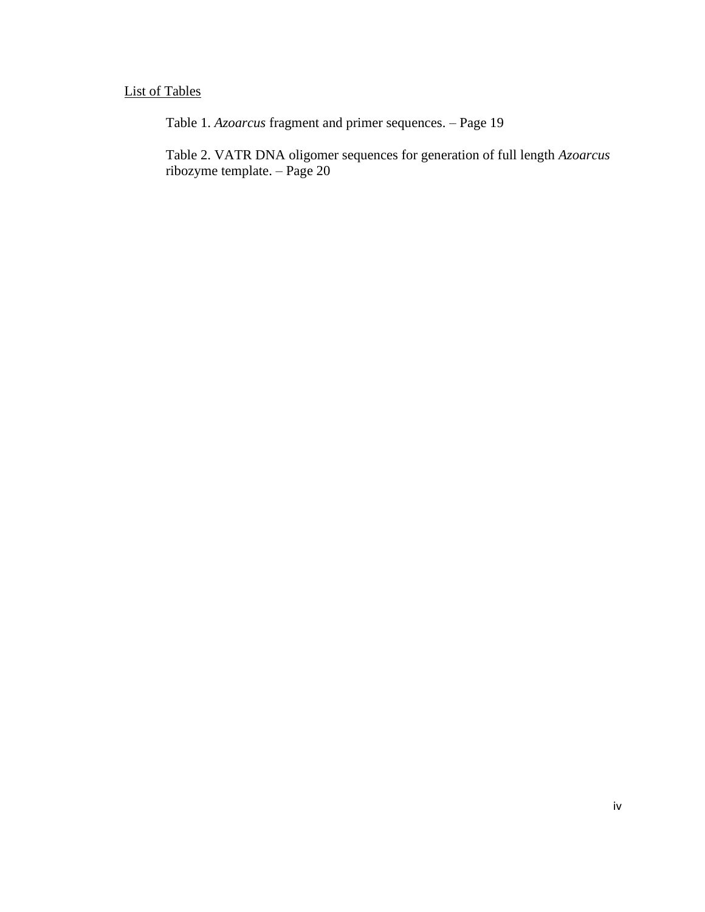# List of Tables

Table 1. *Azoarcus* fragment and primer sequences. – Page 19

Table 2. VATR DNA oligomer sequences for generation of full length *Azoarcus* ribozyme template. – Page 20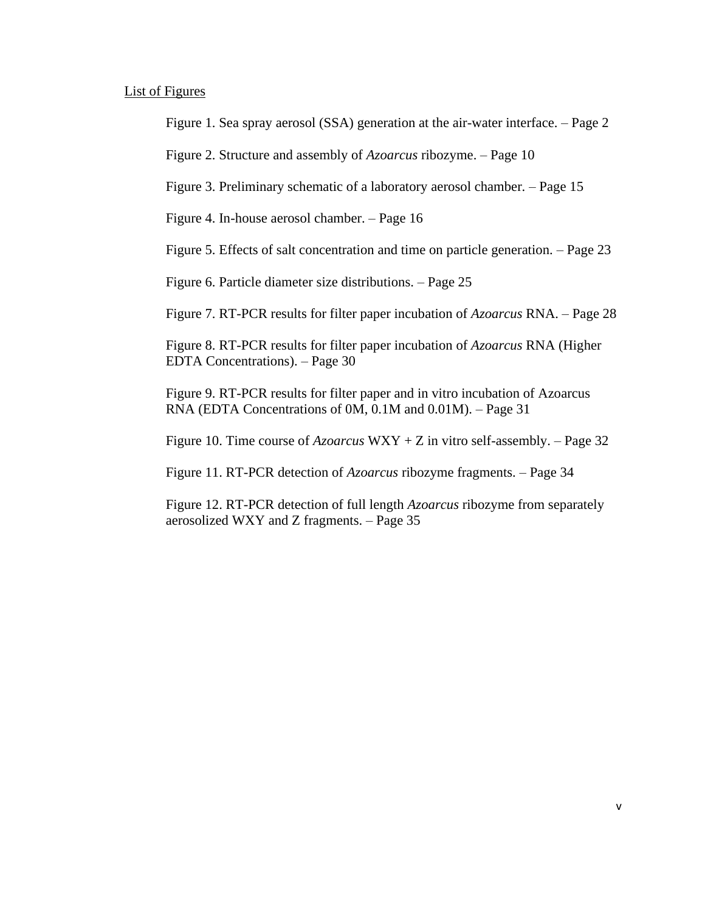#### List of Figures

Figure 1. Sea spray aerosol (SSA) generation at the air-water interface. – Page 2

Figure 2. Structure and assembly of *Azoarcus* ribozyme. – Page 10

Figure 3. Preliminary schematic of a laboratory aerosol chamber. – Page 15

Figure 4. In-house aerosol chamber. – Page 16

Figure 5. Effects of salt concentration and time on particle generation. – Page 23

Figure 6. Particle diameter size distributions. – Page 25

Figure 7. RT-PCR results for filter paper incubation of *Azoarcus* RNA. – Page 28

Figure 8. RT-PCR results for filter paper incubation of *Azoarcus* RNA (Higher EDTA Concentrations). – Page 30

Figure 9. RT-PCR results for filter paper and in vitro incubation of Azoarcus RNA (EDTA Concentrations of 0M, 0.1M and 0.01M). – Page 31

Figure 10. Time course of *Azoarcus* WXY + Z in vitro self-assembly. – Page 32

Figure 11. RT-PCR detection of *Azoarcus* ribozyme fragments. – Page 34

Figure 12. RT-PCR detection of full length *Azoarcus* ribozyme from separately aerosolized WXY and Z fragments. – Page 35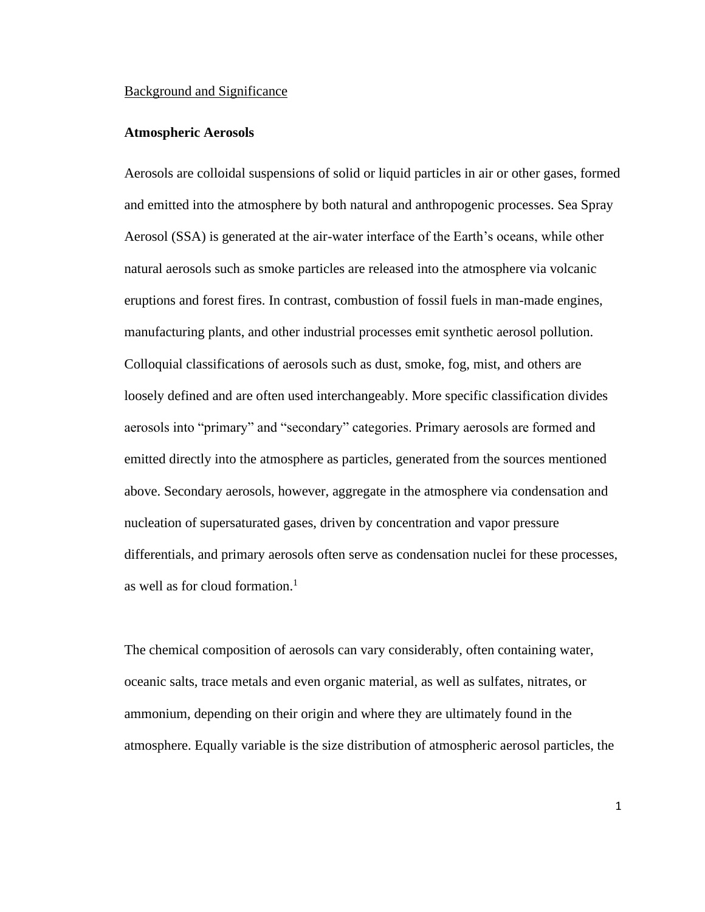#### Background and Significance

#### **Atmospheric Aerosols**

Aerosols are colloidal suspensions of solid or liquid particles in air or other gases, formed and emitted into the atmosphere by both natural and anthropogenic processes. Sea Spray Aerosol (SSA) is generated at the air-water interface of the Earth's oceans, while other natural aerosols such as smoke particles are released into the atmosphere via volcanic eruptions and forest fires. In contrast, combustion of fossil fuels in man-made engines, manufacturing plants, and other industrial processes emit synthetic aerosol pollution. Colloquial classifications of aerosols such as dust, smoke, fog, mist, and others are loosely defined and are often used interchangeably. More specific classification divides aerosols into "primary" and "secondary" categories. Primary aerosols are formed and emitted directly into the atmosphere as particles, generated from the sources mentioned above. Secondary aerosols, however, aggregate in the atmosphere via condensation and nucleation of supersaturated gases, driven by concentration and vapor pressure differentials, and primary aerosols often serve as condensation nuclei for these processes, as well as for cloud formation.<sup>1</sup>

The chemical composition of aerosols can vary considerably, often containing water, oceanic salts, trace metals and even organic material, as well as sulfates, nitrates, or ammonium, depending on their origin and where they are ultimately found in the atmosphere. Equally variable is the size distribution of atmospheric aerosol particles, the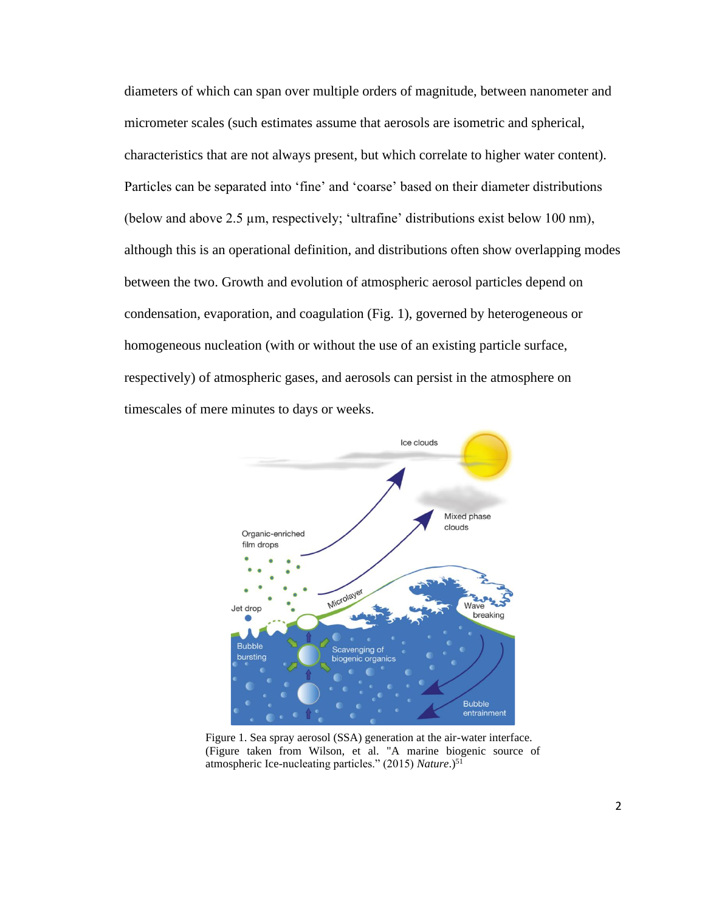diameters of which can span over multiple orders of magnitude, between nanometer and micrometer scales (such estimates assume that aerosols are isometric and spherical, characteristics that are not always present, but which correlate to higher water content). Particles can be separated into 'fine' and 'coarse' based on their diameter distributions (below and above 2.5 µm, respectively; 'ultrafine' distributions exist below 100 nm), although this is an operational definition, and distributions often show overlapping modes between the two. Growth and evolution of atmospheric aerosol particles depend on condensation, evaporation, and coagulation (Fig. 1), governed by heterogeneous or homogeneous nucleation (with or without the use of an existing particle surface, respectively) of atmospheric gases, and aerosols can persist in the atmosphere on timescales of mere minutes to days or weeks.



Figure 1. Sea spray aerosol (SSA) generation at the air-water interface. (Figure taken from Wilson, et al. "A marine biogenic source of atmospheric Ice-nucleating particles." (2015) *Nature*.)<sup>51</sup>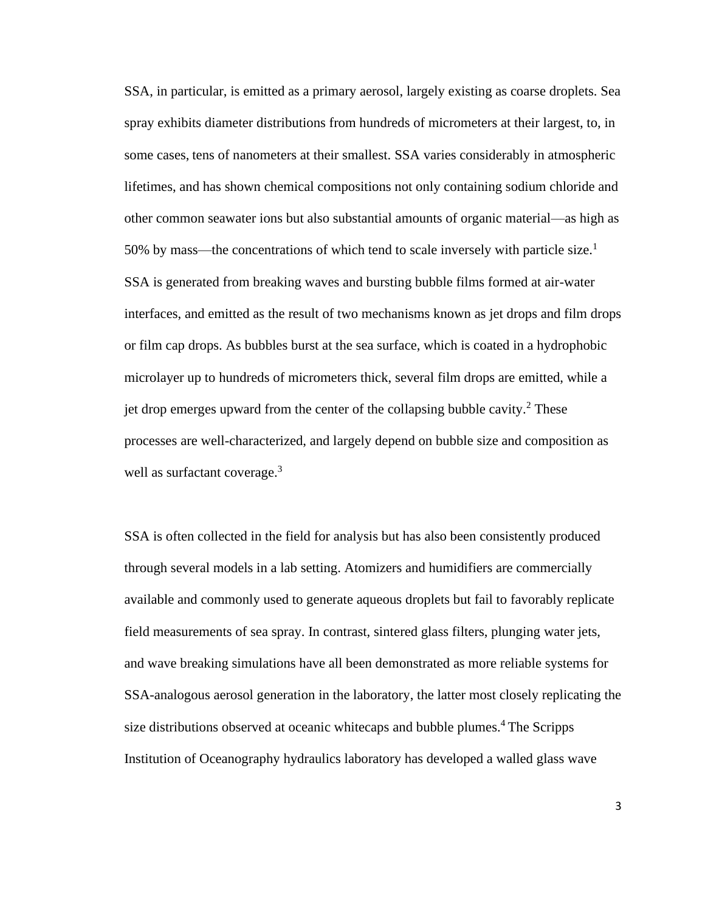SSA, in particular, is emitted as a primary aerosol, largely existing as coarse droplets. Sea spray exhibits diameter distributions from hundreds of micrometers at their largest, to, in some cases, tens of nanometers at their smallest. SSA varies considerably in atmospheric lifetimes, and has shown chemical compositions not only containing sodium chloride and other common seawater ions but also substantial amounts of organic material—as high as 50% by mass—the concentrations of which tend to scale inversely with particle size.<sup>1</sup> SSA is generated from breaking waves and bursting bubble films formed at air-water interfaces, and emitted as the result of two mechanisms known as jet drops and film drops or film cap drops. As bubbles burst at the sea surface, which is coated in a hydrophobic microlayer up to hundreds of micrometers thick, several film drops are emitted, while a jet drop emerges upward from the center of the collapsing bubble cavity.<sup>2</sup> These processes are well-characterized, and largely depend on bubble size and composition as well as surfactant coverage.<sup>3</sup>

SSA is often collected in the field for analysis but has also been consistently produced through several models in a lab setting. Atomizers and humidifiers are commercially available and commonly used to generate aqueous droplets but fail to favorably replicate field measurements of sea spray. In contrast, sintered glass filters, plunging water jets, and wave breaking simulations have all been demonstrated as more reliable systems for SSA-analogous aerosol generation in the laboratory, the latter most closely replicating the size distributions observed at oceanic whitecaps and bubble plumes.<sup>4</sup> The Scripps Institution of Oceanography hydraulics laboratory has developed a walled glass wave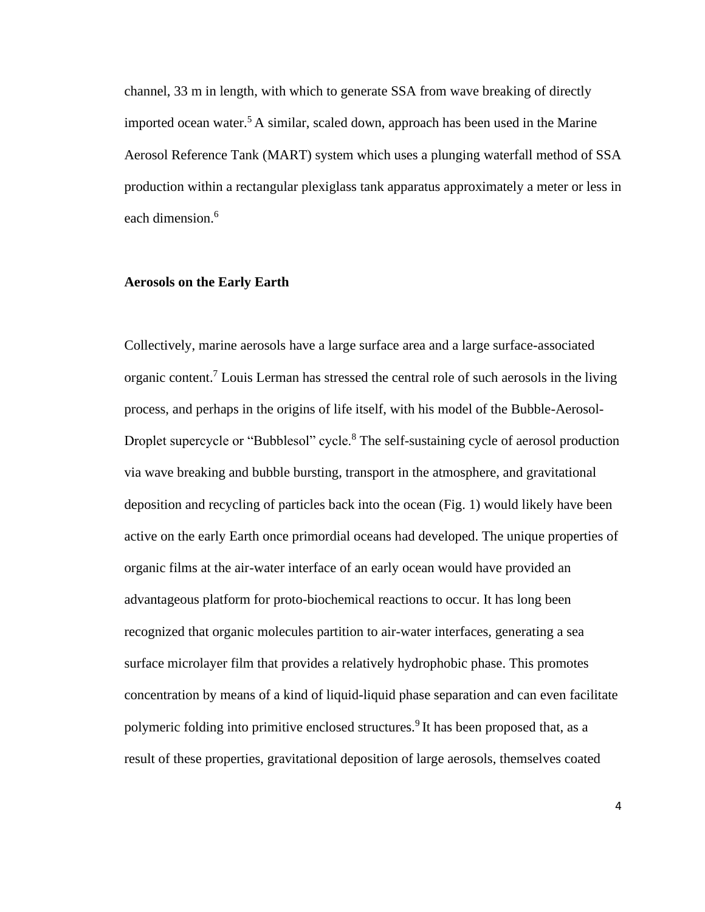channel, 33 m in length, with which to generate SSA from wave breaking of directly imported ocean water.<sup>5</sup> A similar, scaled down, approach has been used in the Marine Aerosol Reference Tank (MART) system which uses a plunging waterfall method of SSA production within a rectangular plexiglass tank apparatus approximately a meter or less in each dimension.<sup>6</sup>

#### **Aerosols on the Early Earth**

Collectively, marine aerosols have a large surface area and a large surface-associated organic content.<sup>7</sup> Louis Lerman has stressed the central role of such aerosols in the living process, and perhaps in the origins of life itself, with his model of the Bubble-Aerosol-Droplet supercycle or "Bubblesol" cycle.<sup>8</sup> The self-sustaining cycle of aerosol production via wave breaking and bubble bursting, transport in the atmosphere, and gravitational deposition and recycling of particles back into the ocean (Fig. 1) would likely have been active on the early Earth once primordial oceans had developed. The unique properties of organic films at the air-water interface of an early ocean would have provided an advantageous platform for proto-biochemical reactions to occur. It has long been recognized that organic molecules partition to air-water interfaces, generating a sea surface microlayer film that provides a relatively hydrophobic phase. This promotes concentration by means of a kind of liquid-liquid phase separation and can even facilitate polymeric folding into primitive enclosed structures.<sup>9</sup> It has been proposed that, as a result of these properties, gravitational deposition of large aerosols, themselves coated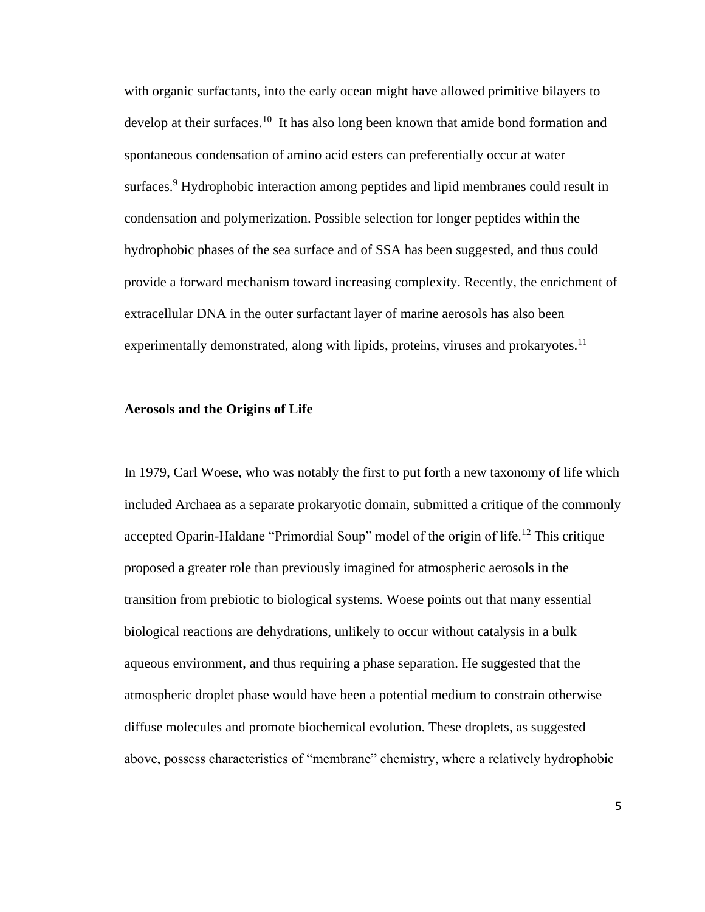with organic surfactants, into the early ocean might have allowed primitive bilayers to develop at their surfaces.<sup>10</sup> It has also long been known that amide bond formation and spontaneous condensation of amino acid esters can preferentially occur at water surfaces.<sup>9</sup> Hydrophobic interaction among peptides and lipid membranes could result in condensation and polymerization. Possible selection for longer peptides within the hydrophobic phases of the sea surface and of SSA has been suggested, and thus could provide a forward mechanism toward increasing complexity. Recently, the enrichment of extracellular DNA in the outer surfactant layer of marine aerosols has also been experimentally demonstrated, along with lipids, proteins, viruses and prokaryotes.<sup>11</sup>

#### **Aerosols and the Origins of Life**

In 1979, Carl Woese, who was notably the first to put forth a new taxonomy of life which included Archaea as a separate prokaryotic domain, submitted a critique of the commonly accepted Oparin-Haldane "Primordial Soup" model of the origin of life.<sup>12</sup> This critique proposed a greater role than previously imagined for atmospheric aerosols in the transition from prebiotic to biological systems. Woese points out that many essential biological reactions are dehydrations, unlikely to occur without catalysis in a bulk aqueous environment, and thus requiring a phase separation. He suggested that the atmospheric droplet phase would have been a potential medium to constrain otherwise diffuse molecules and promote biochemical evolution. These droplets, as suggested above, possess characteristics of "membrane" chemistry, where a relatively hydrophobic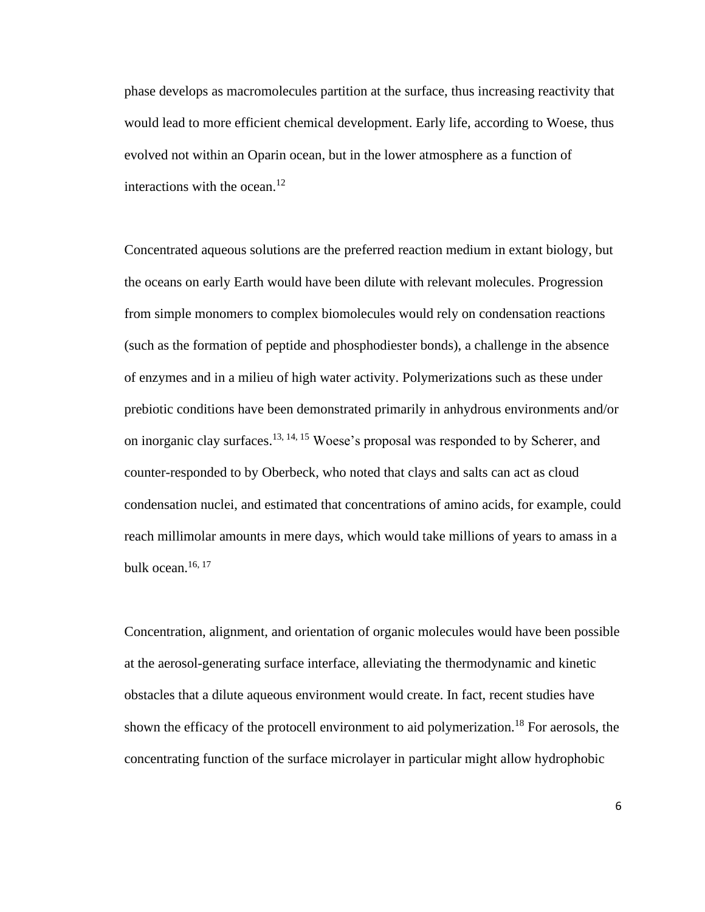phase develops as macromolecules partition at the surface, thus increasing reactivity that would lead to more efficient chemical development. Early life, according to Woese, thus evolved not within an Oparin ocean, but in the lower atmosphere as a function of interactions with the ocean.<sup>12</sup>

Concentrated aqueous solutions are the preferred reaction medium in extant biology, but the oceans on early Earth would have been dilute with relevant molecules. Progression from simple monomers to complex biomolecules would rely on condensation reactions (such as the formation of peptide and phosphodiester bonds), a challenge in the absence of enzymes and in a milieu of high water activity. Polymerizations such as these under prebiotic conditions have been demonstrated primarily in anhydrous environments and/or on inorganic clay surfaces.13, 14, 15 Woese's proposal was responded to by Scherer, and counter-responded to by Oberbeck, who noted that clays and salts can act as cloud condensation nuclei, and estimated that concentrations of amino acids, for example, could reach millimolar amounts in mere days, which would take millions of years to amass in a bulk ocean.<sup>16, 17</sup>

Concentration, alignment, and orientation of organic molecules would have been possible at the aerosol-generating surface interface, alleviating the thermodynamic and kinetic obstacles that a dilute aqueous environment would create. In fact, recent studies have shown the efficacy of the protocell environment to aid polymerization.<sup>18</sup> For aerosols, the concentrating function of the surface microlayer in particular might allow hydrophobic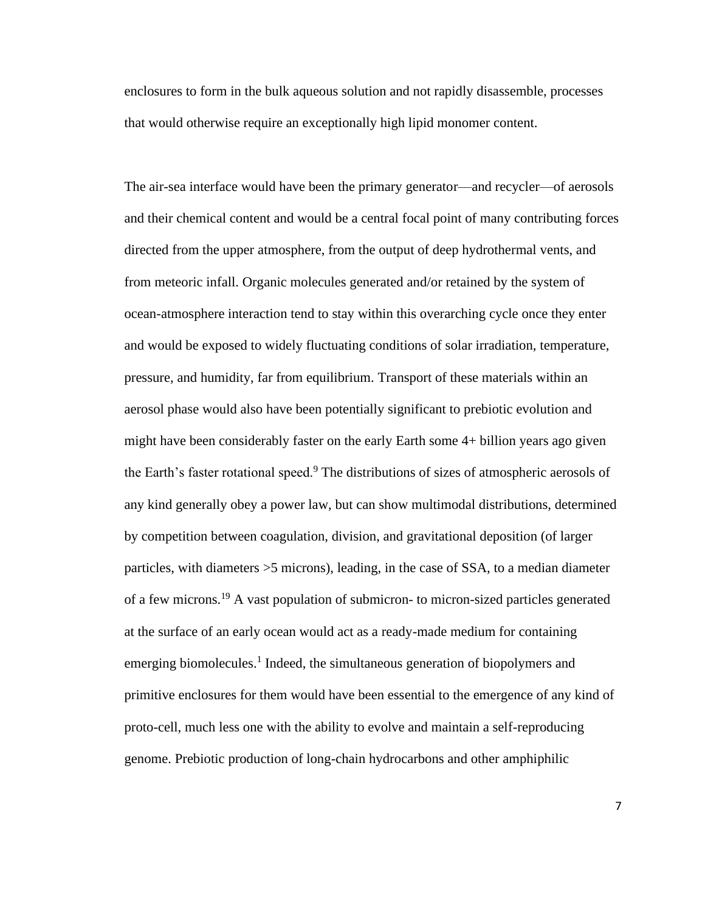enclosures to form in the bulk aqueous solution and not rapidly disassemble, processes that would otherwise require an exceptionally high lipid monomer content.

The air-sea interface would have been the primary generator—and recycler—of aerosols and their chemical content and would be a central focal point of many contributing forces directed from the upper atmosphere, from the output of deep hydrothermal vents, and from meteoric infall. Organic molecules generated and/or retained by the system of ocean-atmosphere interaction tend to stay within this overarching cycle once they enter and would be exposed to widely fluctuating conditions of solar irradiation, temperature, pressure, and humidity, far from equilibrium. Transport of these materials within an aerosol phase would also have been potentially significant to prebiotic evolution and might have been considerably faster on the early Earth some 4+ billion years ago given the Earth's faster rotational speed.<sup>9</sup> The distributions of sizes of atmospheric aerosols of any kind generally obey a power law, but can show multimodal distributions, determined by competition between coagulation, division, and gravitational deposition (of larger particles, with diameters >5 microns), leading, in the case of SSA, to a median diameter of a few microns.<sup>19</sup> A vast population of submicron- to micron-sized particles generated at the surface of an early ocean would act as a ready-made medium for containing emerging biomolecules.<sup>1</sup> Indeed, the simultaneous generation of biopolymers and primitive enclosures for them would have been essential to the emergence of any kind of proto-cell, much less one with the ability to evolve and maintain a self-reproducing genome. Prebiotic production of long-chain hydrocarbons and other amphiphilic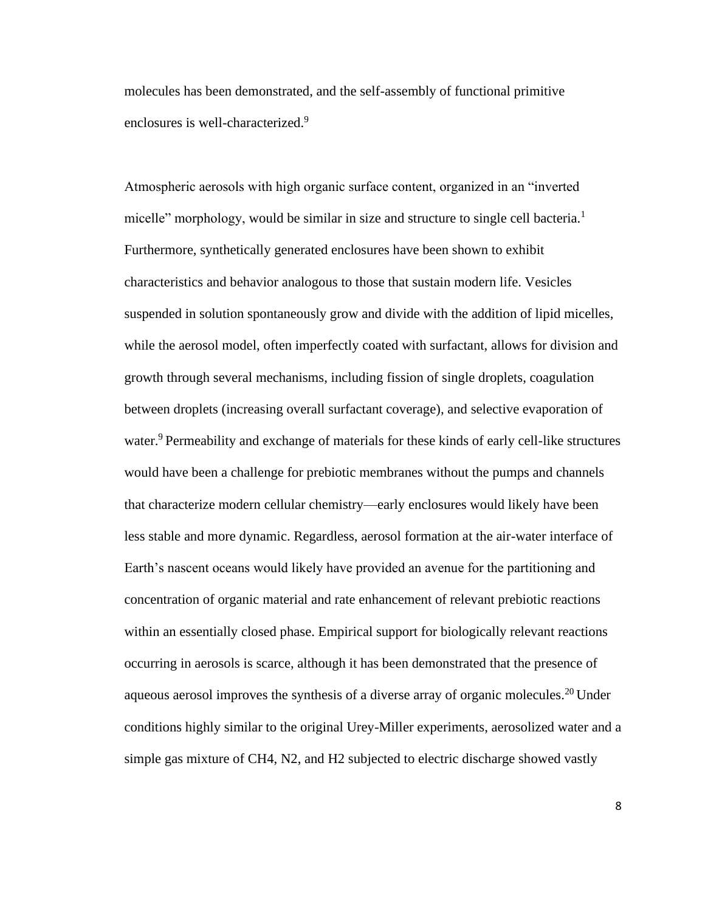molecules has been demonstrated, and the self-assembly of functional primitive enclosures is well-characterized.<sup>9</sup>

Atmospheric aerosols with high organic surface content, organized in an "inverted micelle" morphology, would be similar in size and structure to single cell bacteria.<sup>1</sup> Furthermore, synthetically generated enclosures have been shown to exhibit characteristics and behavior analogous to those that sustain modern life. Vesicles suspended in solution spontaneously grow and divide with the addition of lipid micelles, while the aerosol model, often imperfectly coated with surfactant, allows for division and growth through several mechanisms, including fission of single droplets, coagulation between droplets (increasing overall surfactant coverage), and selective evaporation of water.<sup>9</sup> Permeability and exchange of materials for these kinds of early cell-like structures would have been a challenge for prebiotic membranes without the pumps and channels that characterize modern cellular chemistry—early enclosures would likely have been less stable and more dynamic. Regardless, aerosol formation at the air-water interface of Earth's nascent oceans would likely have provided an avenue for the partitioning and concentration of organic material and rate enhancement of relevant prebiotic reactions within an essentially closed phase. Empirical support for biologically relevant reactions occurring in aerosols is scarce, although it has been demonstrated that the presence of aqueous aerosol improves the synthesis of a diverse array of organic molecules.<sup>20</sup> Under conditions highly similar to the original Urey-Miller experiments, aerosolized water and a simple gas mixture of CH4, N2, and H2 subjected to electric discharge showed vastly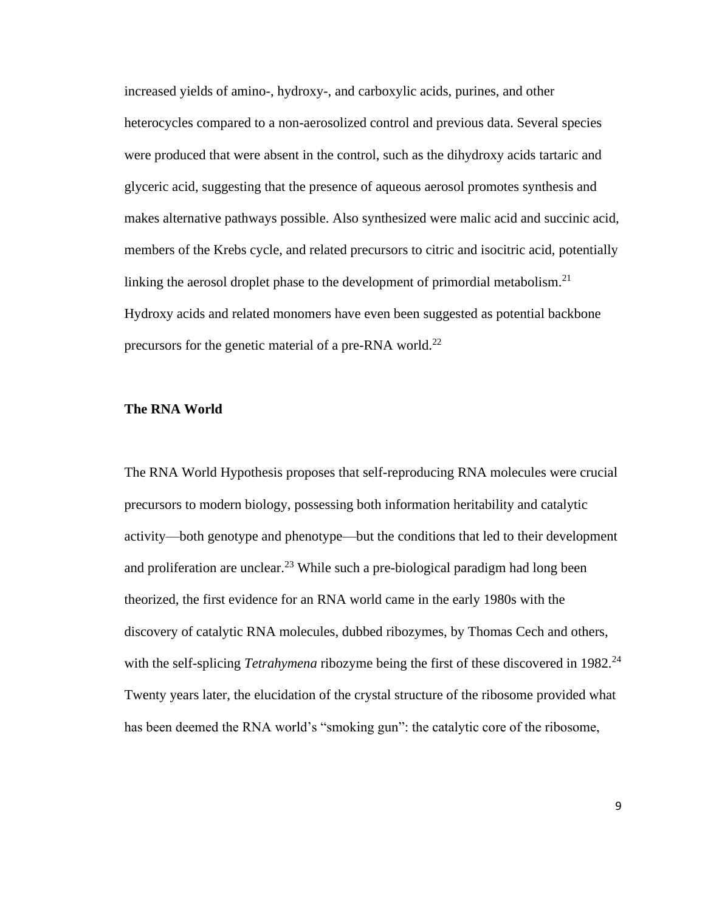increased yields of amino-, hydroxy-, and carboxylic acids, purines, and other heterocycles compared to a non-aerosolized control and previous data. Several species were produced that were absent in the control, such as the dihydroxy acids tartaric and glyceric acid, suggesting that the presence of aqueous aerosol promotes synthesis and makes alternative pathways possible. Also synthesized were malic acid and succinic acid, members of the Krebs cycle, and related precursors to citric and isocitric acid, potentially linking the aerosol droplet phase to the development of primordial metabolism.<sup>21</sup> Hydroxy acids and related monomers have even been suggested as potential backbone precursors for the genetic material of a pre-RNA world.<sup>22</sup>

#### **The RNA World**

The RNA World Hypothesis proposes that self-reproducing RNA molecules were crucial precursors to modern biology, possessing both information heritability and catalytic activity—both genotype and phenotype—but the conditions that led to their development and proliferation are unclear.<sup>23</sup> While such a pre-biological paradigm had long been theorized, the first evidence for an RNA world came in the early 1980s with the discovery of catalytic RNA molecules, dubbed ribozymes, by Thomas Cech and others, with the self-splicing *Tetrahymena* ribozyme being the first of these discovered in 1982.<sup>24</sup> Twenty years later, the elucidation of the crystal structure of the ribosome provided what has been deemed the RNA world's "smoking gun": the catalytic core of the ribosome,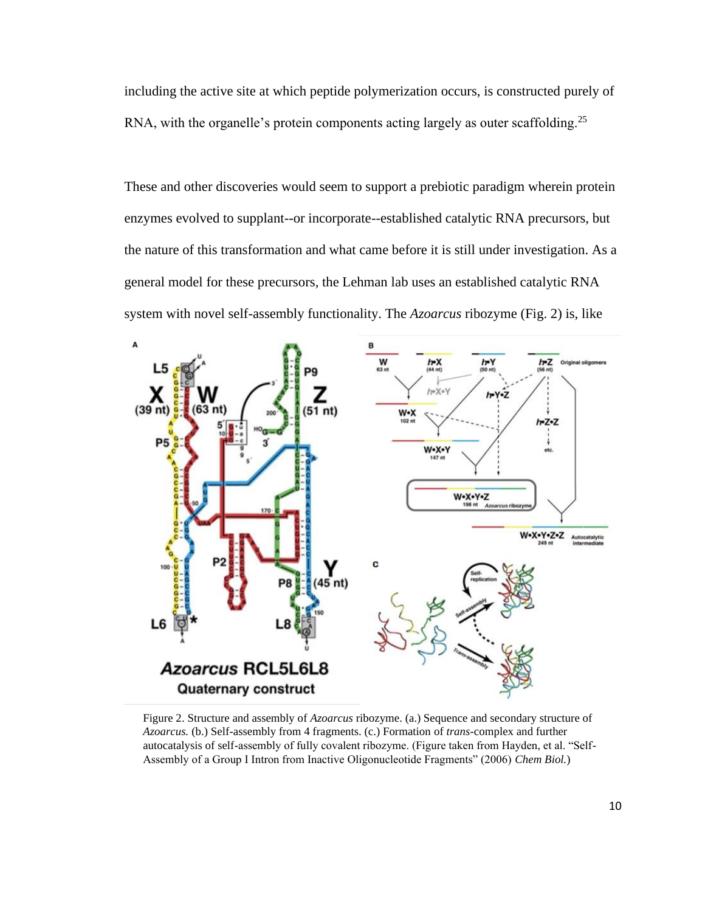including the active site at which peptide polymerization occurs, is constructed purely of RNA, with the organelle's protein components acting largely as outer scaffolding.<sup>25</sup>

These and other discoveries would seem to support a prebiotic paradigm wherein protein enzymes evolved to supplant--or incorporate--established catalytic RNA precursors, but the nature of this transformation and what came before it is still under investigation. As a general model for these precursors, the Lehman lab uses an established catalytic RNA system with novel self-assembly functionality. The *Azoarcus* ribozyme (Fig. 2) is, like



Figure 2. Structure and assembly of *Azoarcus* ribozyme. (a.) Sequence and secondary structure of *Azoarcus.* (b.) Self-assembly from 4 fragments. (c.) Formation of *trans-*complex and further autocatalysis of self-assembly of fully covalent ribozyme. (Figure taken from Hayden, et al. "Self-Assembly of a Group I Intron from Inactive Oligonucleotide Fragments" (2006) *Chem Biol.*)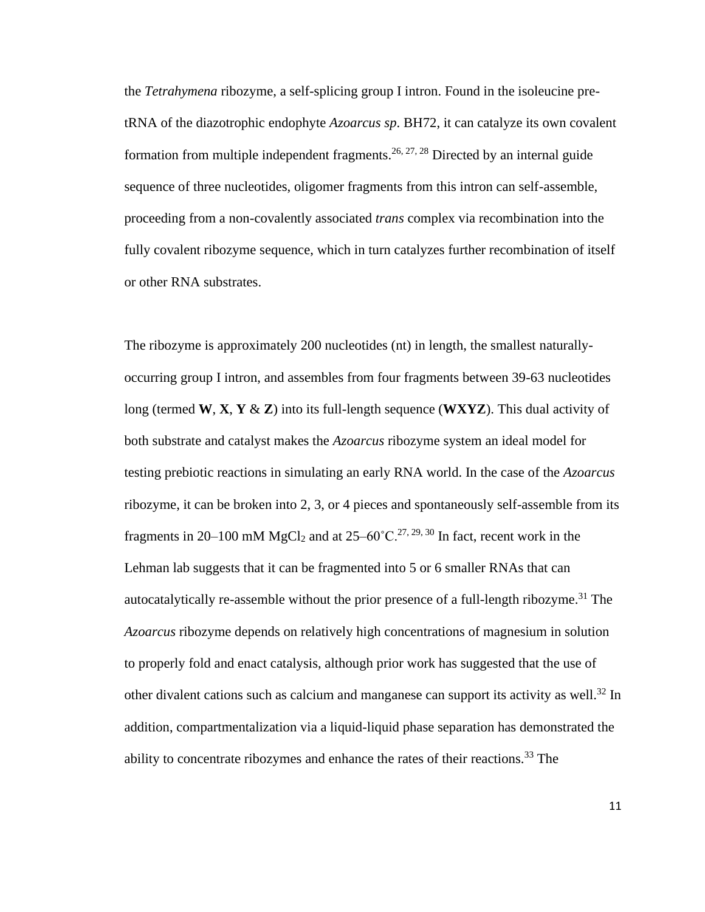the *Tetrahymena* ribozyme, a self-splicing group I intron. Found in the isoleucine pretRNA of the diazotrophic endophyte *Azoarcus sp*. BH72, it can catalyze its own covalent formation from multiple independent fragments.<sup>26, 27, 28</sup> Directed by an internal guide sequence of three nucleotides, oligomer fragments from this intron can self-assemble, proceeding from a non-covalently associated *trans* complex via recombination into the fully covalent ribozyme sequence, which in turn catalyzes further recombination of itself or other RNA substrates.

The ribozyme is approximately 200 nucleotides (nt) in length, the smallest naturallyoccurring group I intron, and assembles from four fragments between 39-63 nucleotides long (termed **W**, **X**, **Y** & **Z**) into its full-length sequence (**WXYZ**). This dual activity of both substrate and catalyst makes the *Azoarcus* ribozyme system an ideal model for testing prebiotic reactions in simulating an early RNA world. In the case of the *Azoarcus* ribozyme, it can be broken into 2, 3, or 4 pieces and spontaneously self-assemble from its fragments in 20–100 mM MgCl<sub>2</sub> and at  $25-60^{\circ}$ C.<sup>27, 29, 30</sup> In fact, recent work in the Lehman lab suggests that it can be fragmented into 5 or 6 smaller RNAs that can autocatalytically re-assemble without the prior presence of a full-length ribozyme.<sup>31</sup> The *Azoarcus* ribozyme depends on relatively high concentrations of magnesium in solution to properly fold and enact catalysis, although prior work has suggested that the use of other divalent cations such as calcium and manganese can support its activity as well.<sup>32</sup> In addition, compartmentalization via a liquid-liquid phase separation has demonstrated the ability to concentrate ribozymes and enhance the rates of their reactions.<sup>33</sup> The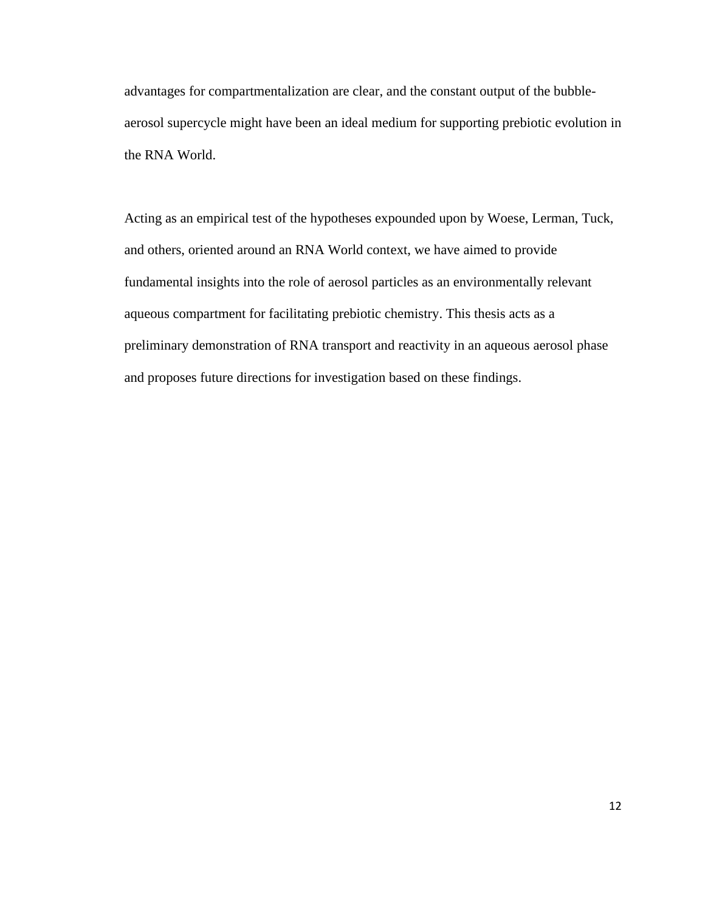advantages for compartmentalization are clear, and the constant output of the bubbleaerosol supercycle might have been an ideal medium for supporting prebiotic evolution in the RNA World.

Acting as an empirical test of the hypotheses expounded upon by Woese, Lerman, Tuck, and others, oriented around an RNA World context, we have aimed to provide fundamental insights into the role of aerosol particles as an environmentally relevant aqueous compartment for facilitating prebiotic chemistry. This thesis acts as a preliminary demonstration of RNA transport and reactivity in an aqueous aerosol phase and proposes future directions for investigation based on these findings.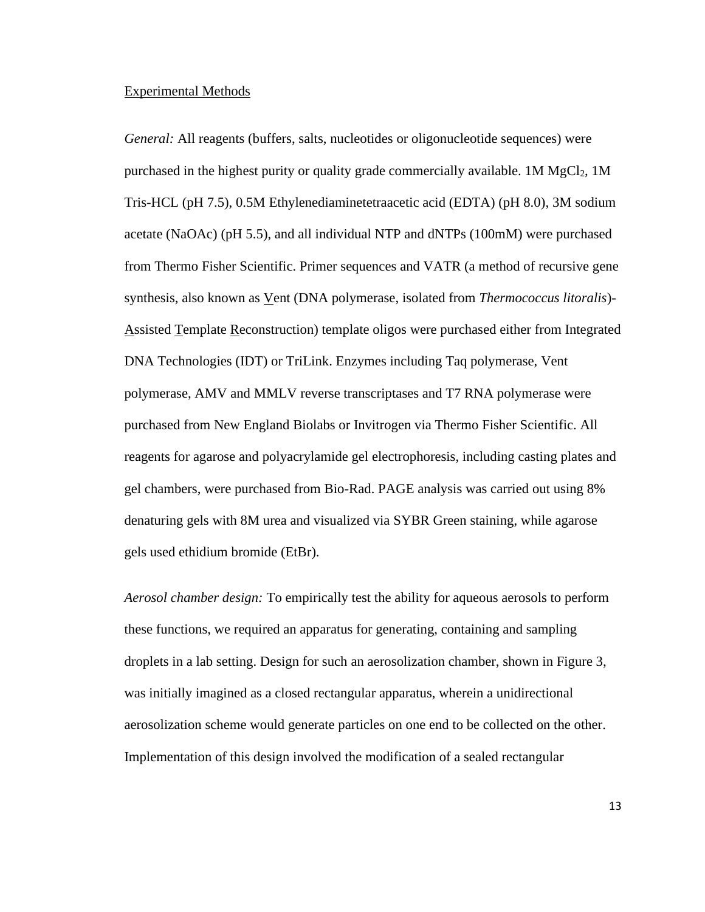#### Experimental Methods

*General:* All reagents (buffers, salts, nucleotides or oligonucleotide sequences) were purchased in the highest purity or quality grade commercially available.  $1M MgCl<sub>2</sub>$ ,  $1M$ Tris-HCL (pH 7.5), 0.5M Ethylenediaminetetraacetic acid (EDTA) (pH 8.0), 3M sodium acetate (NaOAc) (pH 5.5), and all individual NTP and dNTPs (100mM) were purchased from Thermo Fisher Scientific. Primer sequences and VATR (a method of recursive gene synthesis, also known as Vent (DNA polymerase, isolated from *Thermococcus litoralis*)- Assisted Template Reconstruction) template oligos were purchased either from Integrated DNA Technologies (IDT) or TriLink. Enzymes including Taq polymerase, Vent polymerase, AMV and MMLV reverse transcriptases and T7 RNA polymerase were purchased from New England Biolabs or Invitrogen via Thermo Fisher Scientific. All reagents for agarose and polyacrylamide gel electrophoresis, including casting plates and gel chambers, were purchased from Bio-Rad. PAGE analysis was carried out using 8% denaturing gels with 8M urea and visualized via SYBR Green staining, while agarose gels used ethidium bromide (EtBr).

*Aerosol chamber design:* To empirically test the ability for aqueous aerosols to perform these functions, we required an apparatus for generating, containing and sampling droplets in a lab setting. Design for such an aerosolization chamber, shown in Figure 3, was initially imagined as a closed rectangular apparatus, wherein a unidirectional aerosolization scheme would generate particles on one end to be collected on the other. Implementation of this design involved the modification of a sealed rectangular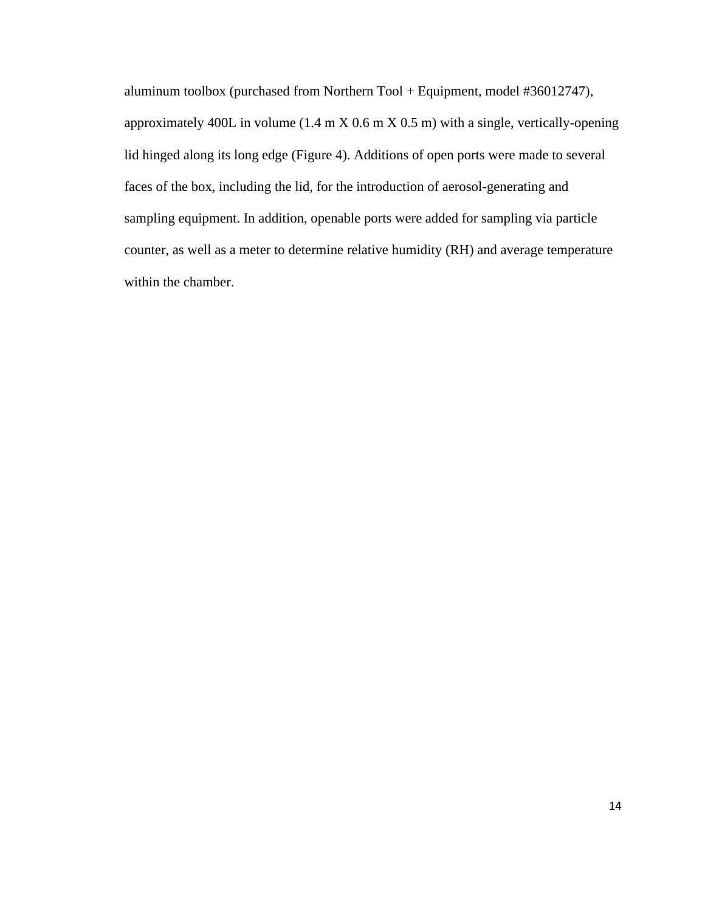aluminum toolbox (purchased from Northern Tool + Equipment, model #36012747), approximately 400L in volume (1.4 m X 0.6 m X 0.5 m) with a single, vertically-opening lid hinged along its long edge (Figure 4). Additions of open ports were made to several faces of the box, including the lid, for the introduction of aerosol-generating and sampling equipment. In addition, openable ports were added for sampling via particle counter, as well as a meter to determine relative humidity (RH) and average temperature within the chamber.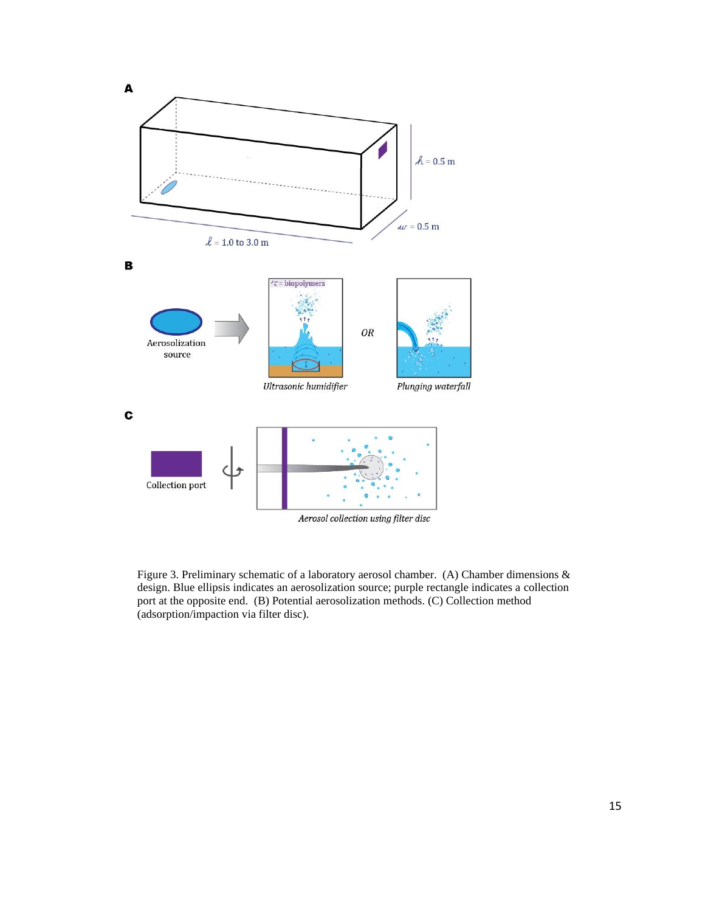

Figure 3. Preliminary schematic of a laboratory aerosol chamber. (A) Chamber dimensions & design. Blue ellipsis indicates an aerosolization source; purple rectangle indicates a collection port at the opposite end. (B) Potential aerosolization methods. (C) Collection method (adsorption/impaction via filter disc).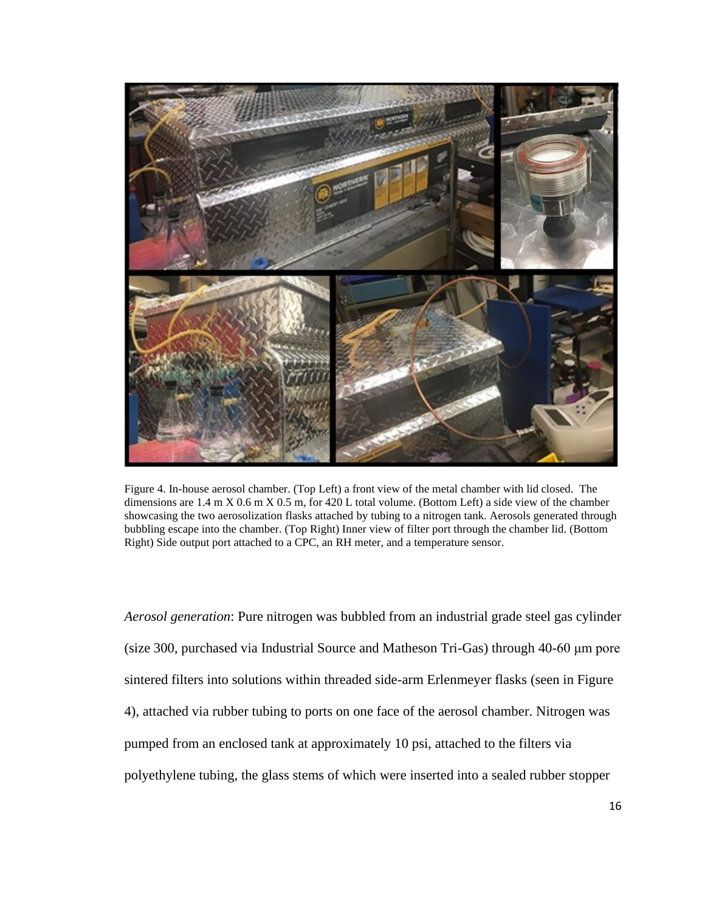

Figure 4. In-house aerosol chamber. (Top Left) a front view of the metal chamber with lid closed. The dimensions are 1.4 m X 0.6 m X 0.5 m, for 420 L total volume. (Bottom Left) a side view of the chamber showcasing the two aerosolization flasks attached by tubing to a nitrogen tank. Aerosols generated through bubbling escape into the chamber. (Top Right) Inner view of filter port through the chamber lid. (Bottom Right) Side output port attached to a CPC, an RH meter, and a temperature sensor.

*Aerosol generation*: Pure nitrogen was bubbled from an industrial grade steel gas cylinder (size 300, purchased via Industrial Source and Matheson Tri-Gas) through 40-60 μm pore sintered filters into solutions within threaded side-arm Erlenmeyer flasks (seen in Figure 4), attached via rubber tubing to ports on one face of the aerosol chamber. Nitrogen was pumped from an enclosed tank at approximately 10 psi, attached to the filters via polyethylene tubing, the glass stems of which were inserted into a sealed rubber stopper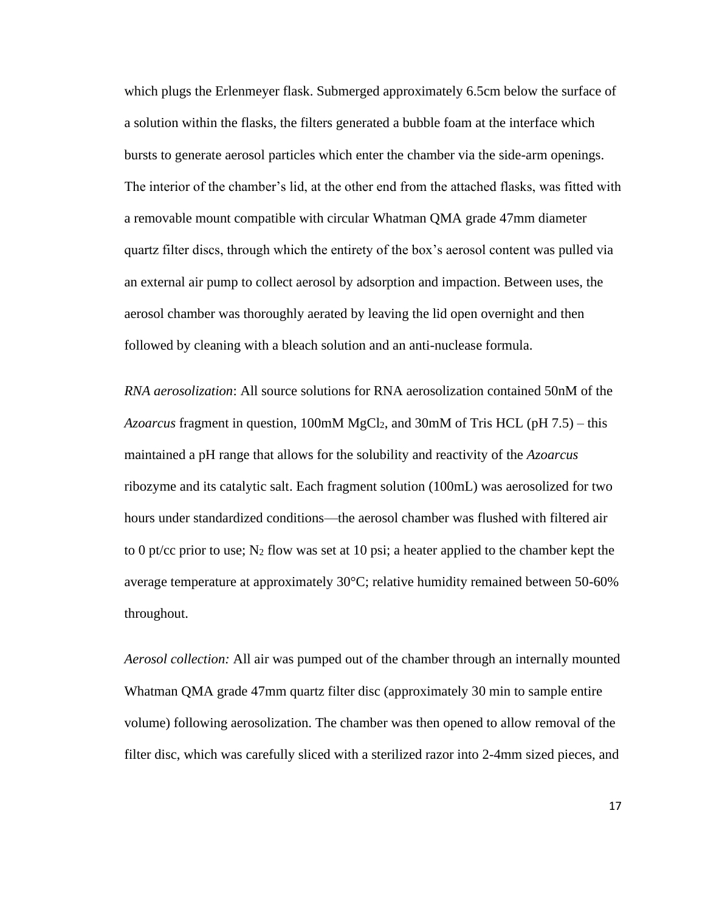which plugs the Erlenmeyer flask. Submerged approximately 6.5cm below the surface of a solution within the flasks, the filters generated a bubble foam at the interface which bursts to generate aerosol particles which enter the chamber via the side-arm openings. The interior of the chamber's lid, at the other end from the attached flasks, was fitted with a removable mount compatible with circular Whatman QMA grade 47mm diameter quartz filter discs, through which the entirety of the box's aerosol content was pulled via an external air pump to collect aerosol by adsorption and impaction. Between uses, the aerosol chamber was thoroughly aerated by leaving the lid open overnight and then followed by cleaning with a bleach solution and an anti-nuclease formula.

*RNA aerosolization*: All source solutions for RNA aerosolization contained 50nM of the *Azoarcus* fragment in question, 100mM MgCl2, and 30mM of Tris HCL (pH 7.5) – this maintained a pH range that allows for the solubility and reactivity of the *Azoarcus* ribozyme and its catalytic salt. Each fragment solution (100mL) was aerosolized for two hours under standardized conditions—the aerosol chamber was flushed with filtered air to 0 pt/cc prior to use;  $N_2$  flow was set at 10 psi; a heater applied to the chamber kept the average temperature at approximately 30°C; relative humidity remained between 50-60% throughout.

*Aerosol collection:* All air was pumped out of the chamber through an internally mounted Whatman QMA grade 47mm quartz filter disc (approximately 30 min to sample entire volume) following aerosolization. The chamber was then opened to allow removal of the filter disc, which was carefully sliced with a sterilized razor into 2-4mm sized pieces, and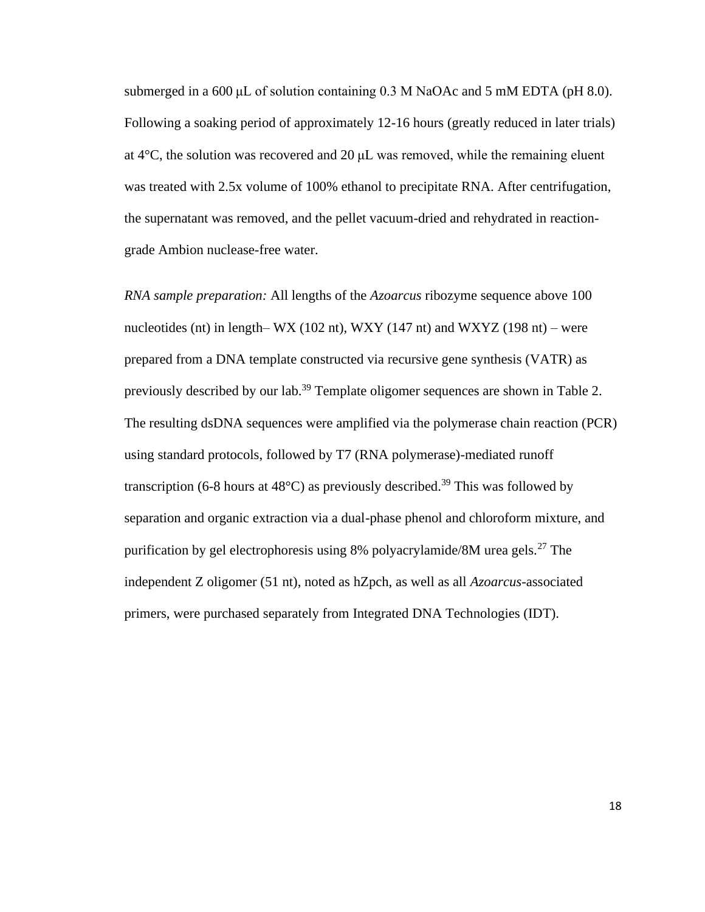submerged in a 600 μL of solution containing 0.3 M NaOAc and 5 mM EDTA (pH 8.0). Following a soaking period of approximately 12-16 hours (greatly reduced in later trials) at 4°C, the solution was recovered and 20 μL was removed, while the remaining eluent was treated with 2.5x volume of 100% ethanol to precipitate RNA. After centrifugation, the supernatant was removed, and the pellet vacuum-dried and rehydrated in reactiongrade Ambion nuclease-free water.

*RNA sample preparation:* All lengths of the *Azoarcus* ribozyme sequence above 100 nucleotides (nt) in length– WX (102 nt), WXY (147 nt) and WXYZ (198 nt) – were prepared from a DNA template constructed via recursive gene synthesis (VATR) as previously described by our lab.<sup>39</sup> Template oligomer sequences are shown in Table 2. The resulting dsDNA sequences were amplified via the polymerase chain reaction (PCR) using standard protocols, followed by T7 (RNA polymerase)-mediated runoff transcription (6-8 hours at  $48^{\circ}$ C) as previously described.<sup>39</sup> This was followed by separation and organic extraction via a dual-phase phenol and chloroform mixture, and purification by gel electrophoresis using 8% polyacrylamide/8M urea gels.<sup>27</sup> The independent Z oligomer (51 nt), noted as hZpch, as well as all *Azoarcus*-associated primers, were purchased separately from Integrated DNA Technologies (IDT).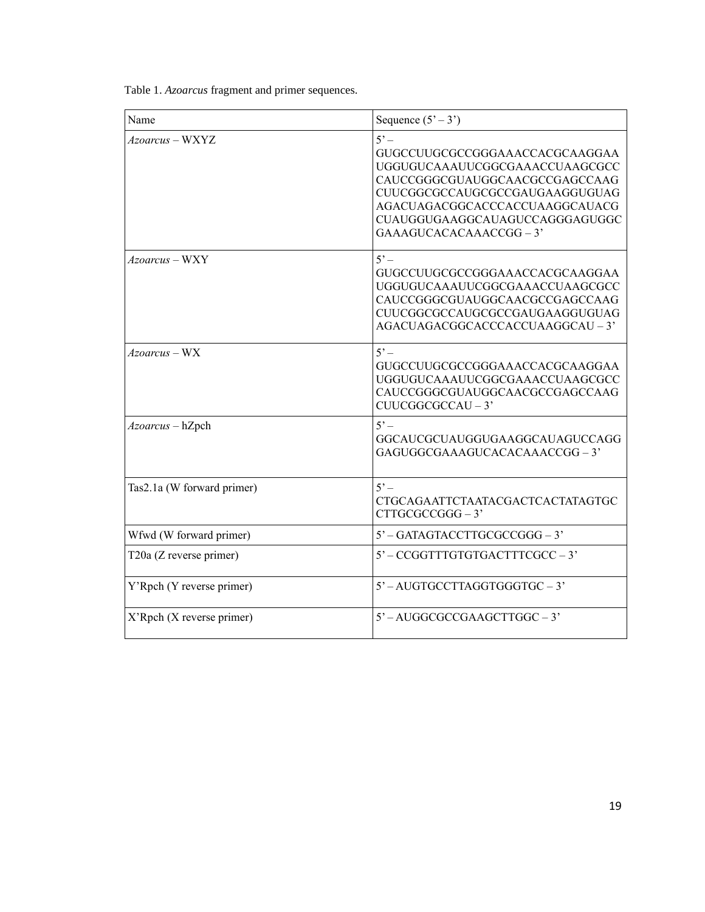Table 1. *Azoarcus* fragment and primer sequences.

| Name                       | Sequence $(5' - 3')$                                                                                                                                                                                                                               |
|----------------------------|----------------------------------------------------------------------------------------------------------------------------------------------------------------------------------------------------------------------------------------------------|
| Azoarcus - WXYZ            | $5^\circ$ –<br>GUGCCUUGCGCCGGGAAACCACGCAAGGAA<br>UGGUGUCAAAUUCGGCGAAACCUAAGCGCC<br>CAUCCGGGCGUAUGGCAACGCCGAGCCAAG<br>CUUCGGCGCCAUGCGCCGAUGAAGGUGUAG<br>AGACUAGACGGCACCCACCUAAGGCAUACG<br>CUAUGGUGAAGGCAUAGUCCAGGGAGUGGC<br>GAAAGUCACACAAACCGG - 3' |
| Azoarcus - WXY             | $5^\circ$ –<br>GUGCCUUGCGCCGGGAAACCACGCAAGGAA<br>UGGUGUCAAAUUCGGCGAAACCUAAGCGCC<br>CAUCCGGGCGUAUGGCAACGCCGAGCCAAG<br>CUUCGGCGCCAUGCGCCGAUGAAGGUGUAG<br>AGACUAGACGGCACCCACCUAAGGCAU - 3'                                                            |
| $Azoarcus$ – WX            | $5^\circ$ –<br>GUGCCUUGCGCCGGGAAACCACGCAAGGAA<br>UGGUGUCAAAUUCGGCGAAACCUAAGCGCC<br>CAUCCGGGCGUAUGGCAACGCCGAGCCAAG<br>$CUUCGGCGCCAU-3'$                                                                                                             |
| Azoarcus - hZpch           | $5^\circ$<br>GGCAUCGCUAUGGUGAAGGCAUAGUCCAGG<br>GAGUGGCGAAAGUCACACAAACCGG-3'                                                                                                                                                                        |
| Tas2.1a (W forward primer) | $5^\circ$<br>CTGCAGAATTCTAATACGACTCACTATAGTGC<br>$CTTGCGCCGGG - 3'$                                                                                                                                                                                |
| Wfwd (W forward primer)    | $5'$ – GATAGTACCTTGCGCCGGG – 3'                                                                                                                                                                                                                    |
| T20a (Z reverse primer)    | $5'$ – CCGGTTTGTGTGACTTTCGCC – 3'                                                                                                                                                                                                                  |
| Y'Rpch (Y reverse primer)  | 5'-AUGTGCCTTAGGTGGGTGC-3'                                                                                                                                                                                                                          |
| X'Rpch (X reverse primer)  | $5'$ – AUGGCGCCGAAGCTTGGC – 3'                                                                                                                                                                                                                     |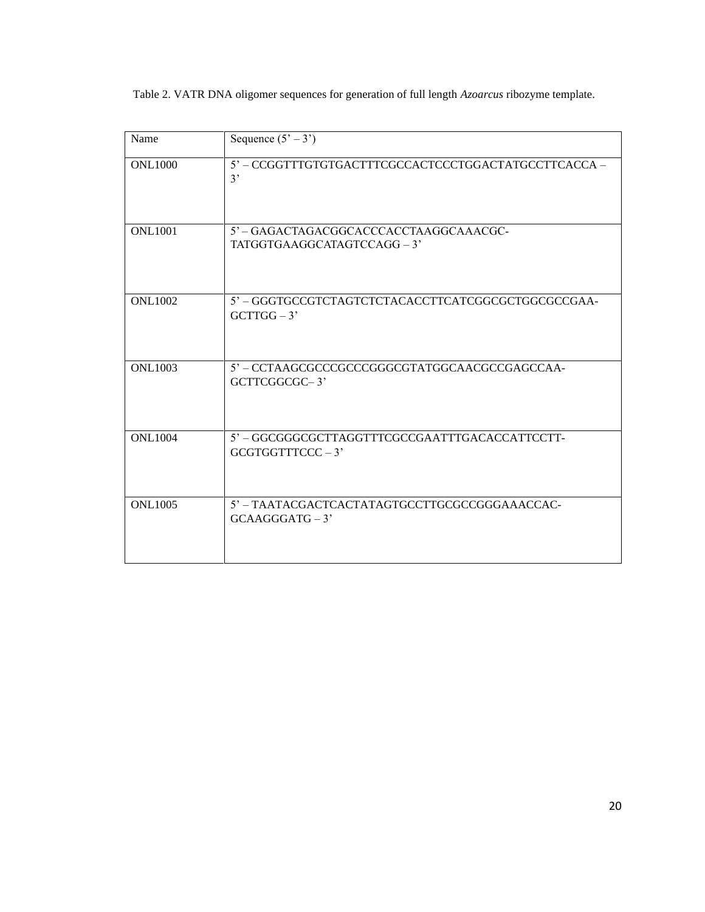Table 2. VATR DNA oligomer sequences for generation of full length *Azoarcus* ribozyme template.

| Name           | Sequence $(5' - 3')$                                                      |
|----------------|---------------------------------------------------------------------------|
| <b>ONL1000</b> | 5' - CCGGTTTGTGTGACTTTCGCCACTCCCTGGACTATGCCTTCACCA -<br>3'                |
| <b>ONL1001</b> | 5' - GAGACTAGACGGCACCCACCTAAGGCAAACGC-<br>TATGGTGAAGGCATAGTCCAGG-3'       |
| <b>ONL1002</b> | 5' - GGGTGCCGTCTAGTCTCTACACCTTCATCGGCGCTGGCGCCGAA-<br>$GCTTGG-3'$         |
| <b>ONL1003</b> | 5' - CCTAAGCGCCCGCCCGGGCGTATGGCAACGCCGAGCCAA-<br>GCTTCGGCGC-3'            |
| <b>ONL1004</b> | $5^\circ$ – GGCGGCGCTTAGGTTTCGCCGAATTTGACACCATTCCTT-<br>$GCGTGGTTTCCC-3'$ |
| <b>ONL1005</b> | 5' - TAATACGACTCACTATAGTGCCTTGCGCCGGGAAACCAC-<br>$GCAAGGGATG-3'$          |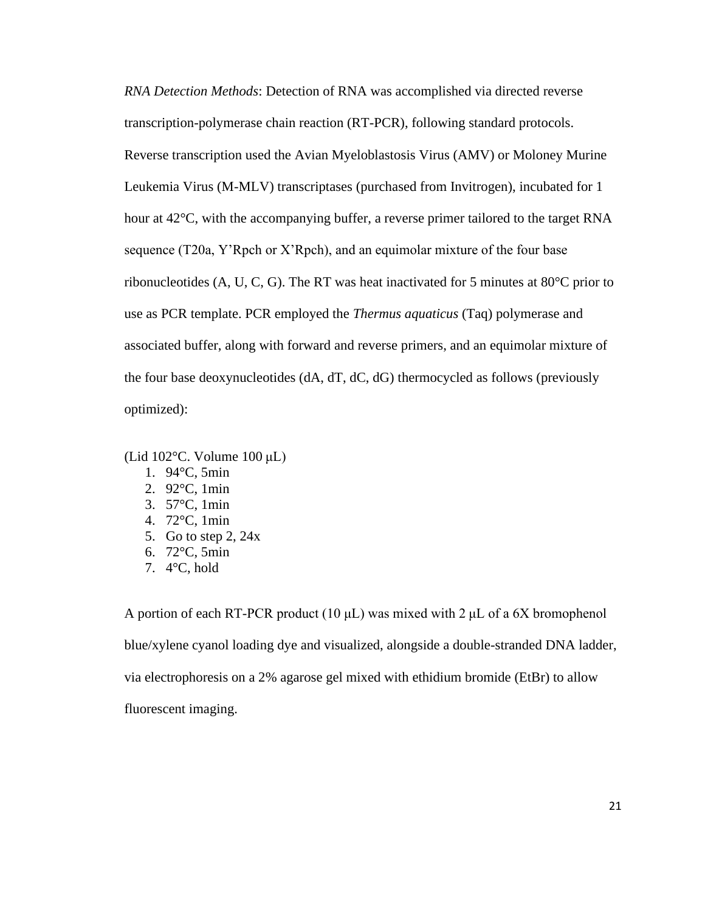*RNA Detection Methods*: Detection of RNA was accomplished via directed reverse transcription-polymerase chain reaction (RT-PCR), following standard protocols. Reverse transcription used the Avian Myeloblastosis Virus (AMV) or Moloney Murine Leukemia Virus (M-MLV) transcriptases (purchased from Invitrogen), incubated for 1 hour at 42<sup>o</sup>C, with the accompanying buffer, a reverse primer tailored to the target RNA sequence (T20a, Y'Rpch or X'Rpch), and an equimolar mixture of the four base ribonucleotides (A, U, C, G). The RT was heat inactivated for 5 minutes at  $80^{\circ}$ C prior to use as PCR template. PCR employed the *Thermus aquaticus* (Taq) polymerase and associated buffer, along with forward and reverse primers, and an equimolar mixture of the four base deoxynucleotides (dA, dT, dC, dG) thermocycled as follows (previously optimized):

(Lid 102°C. Volume 100 μL)

- 1. 94°C, 5min
- 2. 92°C, 1min
- 3. 57°C, 1min
- 4. 72°C, 1min
- 5. Go to step 2, 24x
- 6. 72°C, 5min
- 7. 4°C, hold

A portion of each RT-PCR product (10  $\mu$ L) was mixed with 2  $\mu$ L of a 6X bromophenol blue/xylene cyanol loading dye and visualized, alongside a double-stranded DNA ladder, via electrophoresis on a 2% agarose gel mixed with ethidium bromide (EtBr) to allow fluorescent imaging.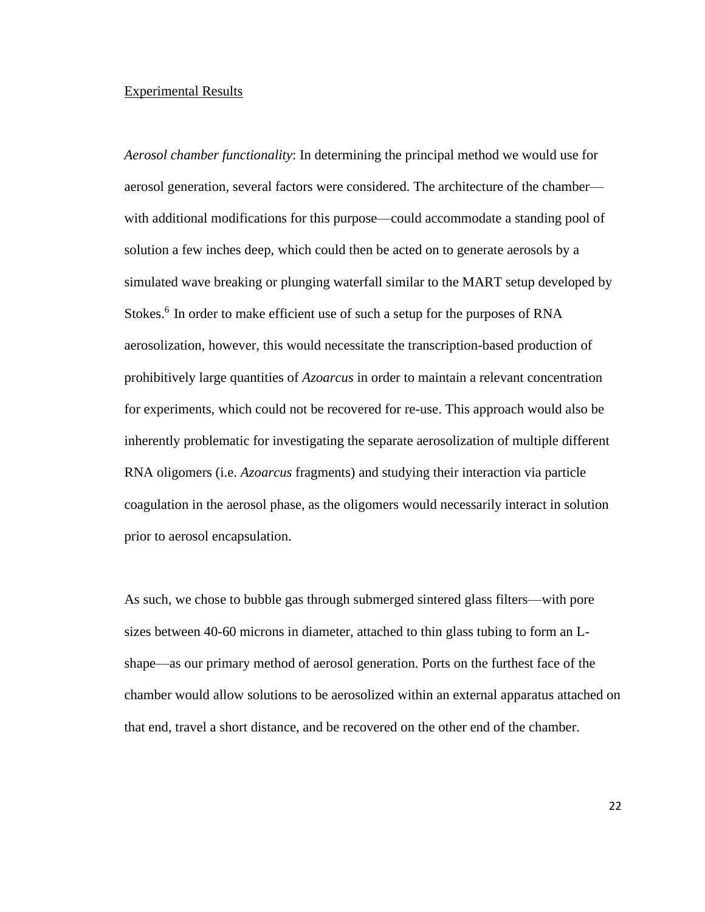#### Experimental Results

*Aerosol chamber functionality*: In determining the principal method we would use for aerosol generation, several factors were considered. The architecture of the chamber with additional modifications for this purpose—could accommodate a standing pool of solution a few inches deep, which could then be acted on to generate aerosols by a simulated wave breaking or plunging waterfall similar to the MART setup developed by Stokes.<sup>6</sup> In order to make efficient use of such a setup for the purposes of RNA aerosolization, however, this would necessitate the transcription-based production of prohibitively large quantities of *Azoarcus* in order to maintain a relevant concentration for experiments, which could not be recovered for re-use. This approach would also be inherently problematic for investigating the separate aerosolization of multiple different RNA oligomers (i.e. *Azoarcus* fragments) and studying their interaction via particle coagulation in the aerosol phase, as the oligomers would necessarily interact in solution prior to aerosol encapsulation.

As such, we chose to bubble gas through submerged sintered glass filters—with pore sizes between 40-60 microns in diameter, attached to thin glass tubing to form an Lshape—as our primary method of aerosol generation. Ports on the furthest face of the chamber would allow solutions to be aerosolized within an external apparatus attached on that end, travel a short distance, and be recovered on the other end of the chamber.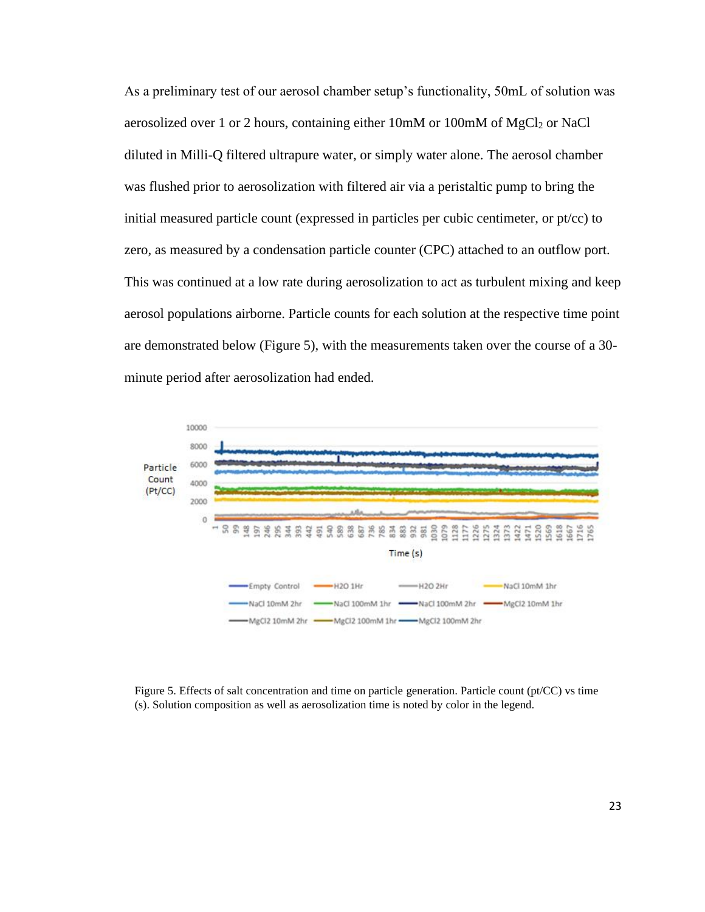As a preliminary test of our aerosol chamber setup's functionality, 50mL of solution was aerosolized over 1 or 2 hours, containing either 10mM or 100mM of MgCl<sub>2</sub> or NaCl diluted in Milli-Q filtered ultrapure water, or simply water alone. The aerosol chamber was flushed prior to aerosolization with filtered air via a peristaltic pump to bring the initial measured particle count (expressed in particles per cubic centimeter, or pt/cc) to zero, as measured by a condensation particle counter (CPC) attached to an outflow port. This was continued at a low rate during aerosolization to act as turbulent mixing and keep aerosol populations airborne. Particle counts for each solution at the respective time point are demonstrated below (Figure 5), with the measurements taken over the course of a 30 minute period after aerosolization had ended.



Figure 5. Effects of salt concentration and time on particle generation. Particle count (pt/CC) vs time (s). Solution composition as well as aerosolization time is noted by color in the legend.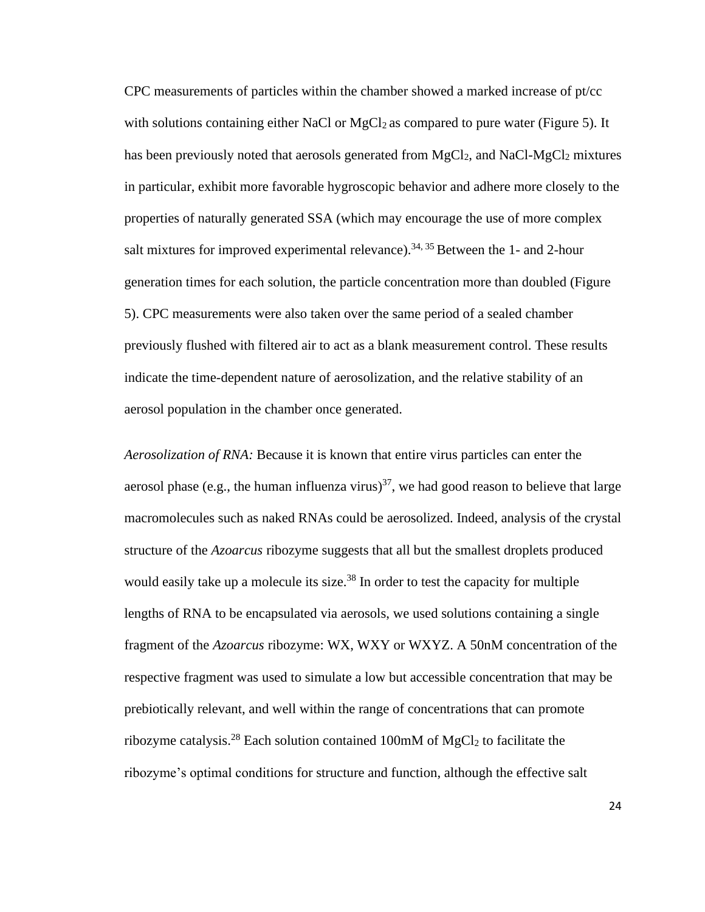CPC measurements of particles within the chamber showed a marked increase of pt/cc with solutions containing either NaCl or  $MgCl<sub>2</sub>$  as compared to pure water (Figure 5). It has been previously noted that aerosols generated from  $MgCl<sub>2</sub>$ , and NaCl- $MgCl<sub>2</sub>$  mixtures in particular, exhibit more favorable hygroscopic behavior and adhere more closely to the properties of naturally generated SSA (which may encourage the use of more complex salt mixtures for improved experimental relevance).<sup>34, 35</sup> Between the 1- and 2-hour generation times for each solution, the particle concentration more than doubled (Figure 5). CPC measurements were also taken over the same period of a sealed chamber previously flushed with filtered air to act as a blank measurement control. These results indicate the time-dependent nature of aerosolization, and the relative stability of an aerosol population in the chamber once generated.

*Aerosolization of RNA:* Because it is known that entire virus particles can enter the aerosol phase (e.g., the human influenza virus)<sup>37</sup>, we had good reason to believe that large macromolecules such as naked RNAs could be aerosolized. Indeed, analysis of the crystal structure of the *Azoarcus* ribozyme suggests that all but the smallest droplets produced would easily take up a molecule its size.<sup>38</sup> In order to test the capacity for multiple lengths of RNA to be encapsulated via aerosols, we used solutions containing a single fragment of the *Azoarcus* ribozyme: WX, WXY or WXYZ. A 50nM concentration of the respective fragment was used to simulate a low but accessible concentration that may be prebiotically relevant, and well within the range of concentrations that can promote ribozyme catalysis.<sup>28</sup> Each solution contained 100mM of MgCl<sub>2</sub> to facilitate the ribozyme's optimal conditions for structure and function, although the effective salt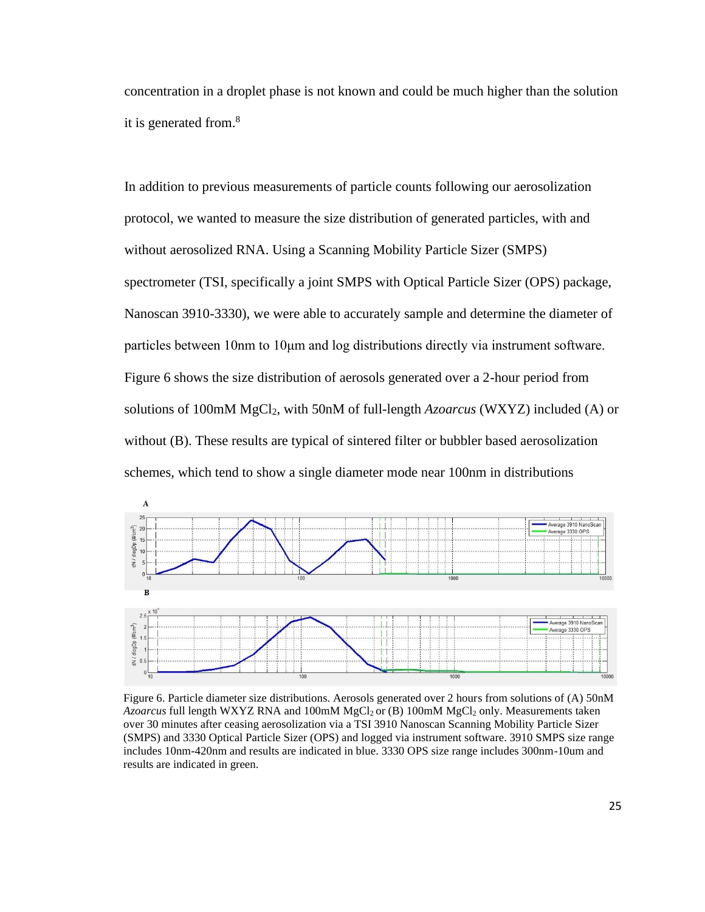concentration in a droplet phase is not known and could be much higher than the solution it is generated from.<sup>8</sup>

In addition to previous measurements of particle counts following our aerosolization protocol, we wanted to measure the size distribution of generated particles, with and without aerosolized RNA. Using a Scanning Mobility Particle Sizer (SMPS) spectrometer (TSI, specifically a joint SMPS with Optical Particle Sizer (OPS) package, Nanoscan 3910-3330), we were able to accurately sample and determine the diameter of particles between 10nm to 10μm and log distributions directly via instrument software. Figure 6 shows the size distribution of aerosols generated over a 2-hour period from solutions of 100mM MgCl2, with 50nM of full-length *Azoarcus* (WXYZ) included (A) or without (B). These results are typical of sintered filter or bubbler based aerosolization schemes, which tend to show a single diameter mode near 100nm in distributions



Figure 6. Particle diameter size distributions. Aerosols generated over 2 hours from solutions of (A) 50nM *Azoarcus* full length WXYZ RNA and 100mM MgCl2 or (B) 100mM MgCl<sup>2</sup> only. Measurements taken over 30 minutes after ceasing aerosolization via a TSI 3910 Nanoscan Scanning Mobility Particle Sizer (SMPS) and 3330 Optical Particle Sizer (OPS) and logged via instrument software. 3910 SMPS size range includes 10nm-420nm and results are indicated in blue. 3330 OPS size range includes 300nm-10um and results are indicated in green.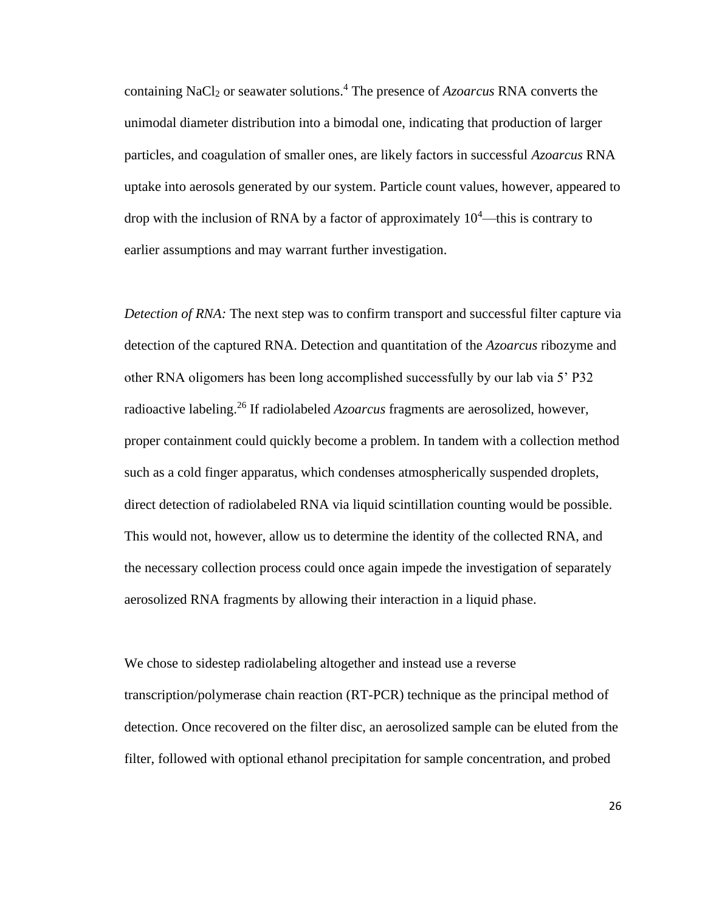containing NaCl<sub>2</sub> or seawater solutions.<sup>4</sup> The presence of *Azoarcus* RNA converts the unimodal diameter distribution into a bimodal one, indicating that production of larger particles, and coagulation of smaller ones, are likely factors in successful *Azoarcus* RNA uptake into aerosols generated by our system. Particle count values, however, appeared to drop with the inclusion of RNA by a factor of approximately  $10<sup>4</sup>$ —this is contrary to earlier assumptions and may warrant further investigation.

*Detection of RNA:* The next step was to confirm transport and successful filter capture via detection of the captured RNA. Detection and quantitation of the *Azoarcus* ribozyme and other RNA oligomers has been long accomplished successfully by our lab via 5' P32 radioactive labeling.<sup>26</sup> If radiolabeled *Azoarcus* fragments are aerosolized, however, proper containment could quickly become a problem. In tandem with a collection method such as a cold finger apparatus, which condenses atmospherically suspended droplets, direct detection of radiolabeled RNA via liquid scintillation counting would be possible. This would not, however, allow us to determine the identity of the collected RNA, and the necessary collection process could once again impede the investigation of separately aerosolized RNA fragments by allowing their interaction in a liquid phase.

We chose to sidestep radiolabeling altogether and instead use a reverse transcription/polymerase chain reaction (RT-PCR) technique as the principal method of detection. Once recovered on the filter disc, an aerosolized sample can be eluted from the filter, followed with optional ethanol precipitation for sample concentration, and probed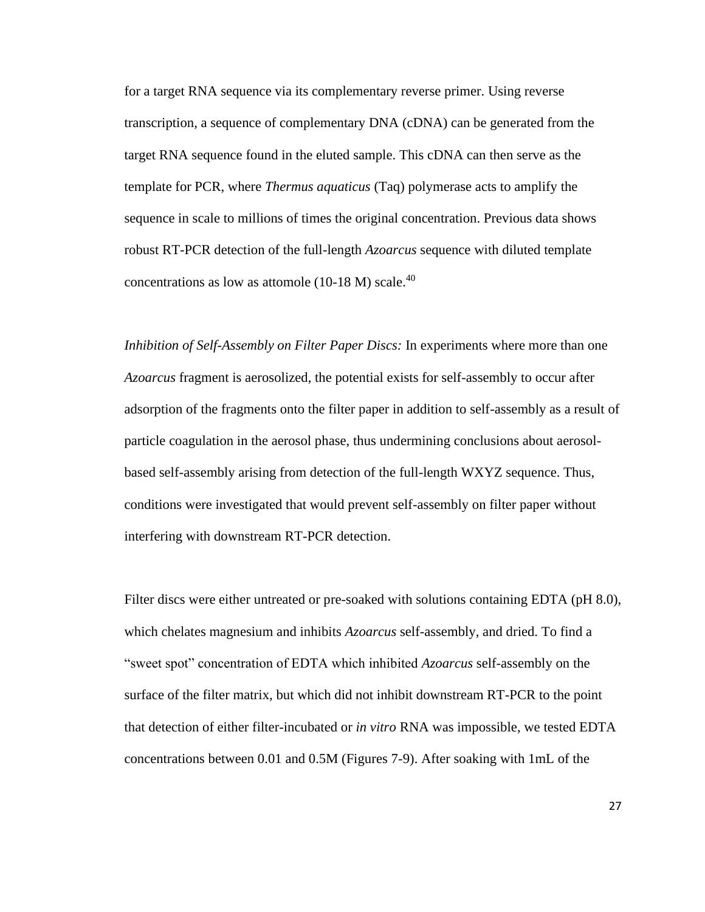for a target RNA sequence via its complementary reverse primer. Using reverse transcription, a sequence of complementary DNA (cDNA) can be generated from the target RNA sequence found in the eluted sample. This cDNA can then serve as the template for PCR, where *Thermus aquaticus* (Taq) polymerase acts to amplify the sequence in scale to millions of times the original concentration. Previous data shows robust RT-PCR detection of the full-length *Azoarcus* sequence with diluted template concentrations as low as attomole  $(10-18 \text{ M})$  scale.<sup>40</sup>

*Inhibition of Self-Assembly on Filter Paper Discs:* In experiments where more than one *Azoarcus* fragment is aerosolized, the potential exists for self-assembly to occur after adsorption of the fragments onto the filter paper in addition to self-assembly as a result of particle coagulation in the aerosol phase, thus undermining conclusions about aerosolbased self-assembly arising from detection of the full-length WXYZ sequence. Thus, conditions were investigated that would prevent self-assembly on filter paper without interfering with downstream RT-PCR detection.

Filter discs were either untreated or pre-soaked with solutions containing EDTA (pH 8.0), which chelates magnesium and inhibits *Azoarcus* self-assembly, and dried. To find a "sweet spot" concentration of EDTA which inhibited *Azoarcus* self-assembly on the surface of the filter matrix, but which did not inhibit downstream RT-PCR to the point that detection of either filter-incubated or *in vitro* RNA was impossible, we tested EDTA concentrations between 0.01 and 0.5M (Figures 7-9). After soaking with 1mL of the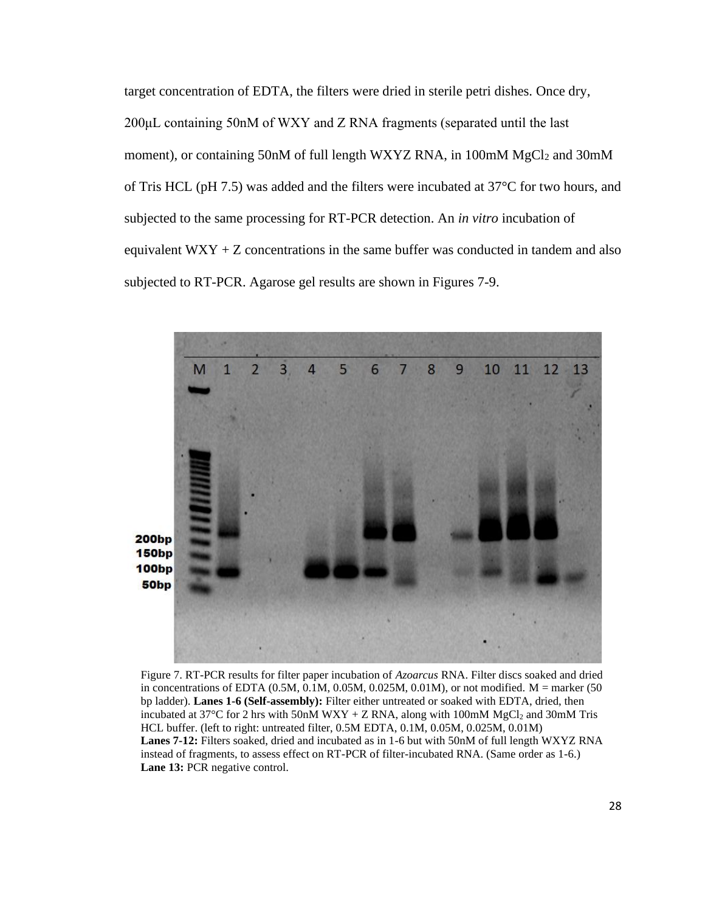target concentration of EDTA, the filters were dried in sterile petri dishes. Once dry, 200μL containing 50nM of WXY and Z RNA fragments (separated until the last moment), or containing 50nM of full length WXYZ RNA, in 100mM MgCl<sub>2</sub> and 30mM of Tris HCL (pH 7.5) was added and the filters were incubated at 37°C for two hours, and subjected to the same processing for RT-PCR detection. An *in vitro* incubation of equivalent  $WXY + Z$  concentrations in the same buffer was conducted in tandem and also subjected to RT-PCR. Agarose gel results are shown in Figures 7-9.



Figure 7. RT-PCR results for filter paper incubation of *Azoarcus* RNA. Filter discs soaked and dried in concentrations of EDTA  $(0.5M, 0.1M, 0.05M, 0.025M, 0.01M)$ , or not modified. M = marker (50 bp ladder). **Lanes 1-6 (Self-assembly):** Filter either untreated or soaked with EDTA, dried, then incubated at  $37^{\circ}$ C for 2 hrs with 50nM WXY + Z RNA, along with 100mM MgCl<sub>2</sub> and 30mM Tris HCL buffer. (left to right: untreated filter, 0.5M EDTA, 0.1M, 0.05M, 0.025M, 0.01M) **Lanes 7-12:** Filters soaked, dried and incubated as in 1-6 but with 50nM of full length WXYZ RNA instead of fragments, to assess effect on RT-PCR of filter-incubated RNA. (Same order as 1-6.) Lane 13: PCR negative control.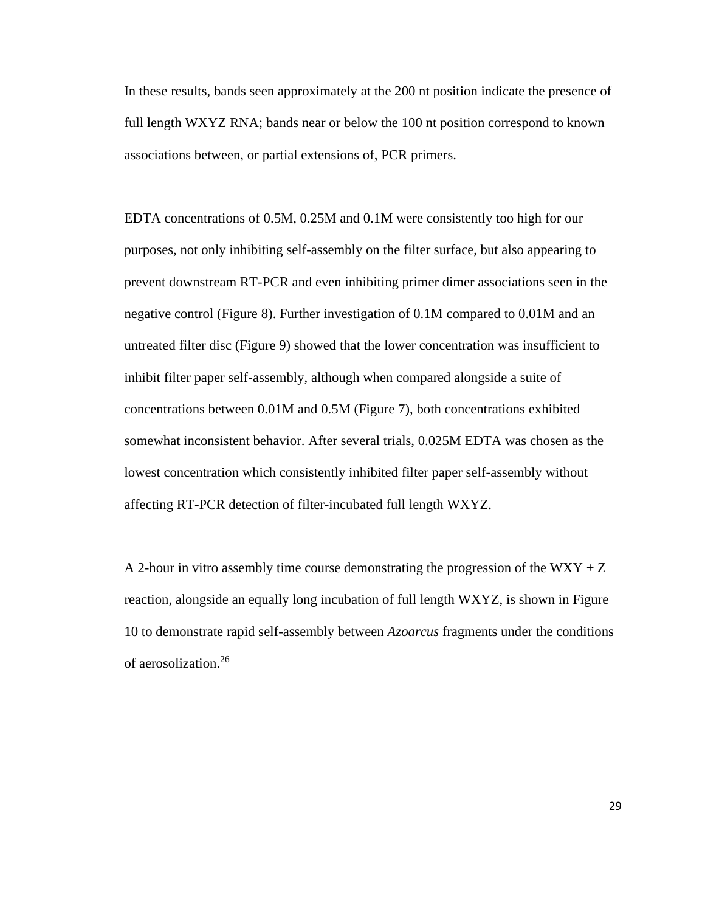In these results, bands seen approximately at the 200 nt position indicate the presence of full length WXYZ RNA; bands near or below the 100 nt position correspond to known associations between, or partial extensions of, PCR primers.

EDTA concentrations of 0.5M, 0.25M and 0.1M were consistently too high for our purposes, not only inhibiting self-assembly on the filter surface, but also appearing to prevent downstream RT-PCR and even inhibiting primer dimer associations seen in the negative control (Figure 8). Further investigation of 0.1M compared to 0.01M and an untreated filter disc (Figure 9) showed that the lower concentration was insufficient to inhibit filter paper self-assembly, although when compared alongside a suite of concentrations between 0.01M and 0.5M (Figure 7), both concentrations exhibited somewhat inconsistent behavior. After several trials, 0.025M EDTA was chosen as the lowest concentration which consistently inhibited filter paper self-assembly without affecting RT-PCR detection of filter-incubated full length WXYZ.

A 2-hour in vitro assembly time course demonstrating the progression of the WXY  $+ Z$ reaction, alongside an equally long incubation of full length WXYZ, is shown in Figure 10 to demonstrate rapid self-assembly between *Azoarcus* fragments under the conditions of aerosolization.<sup>26</sup>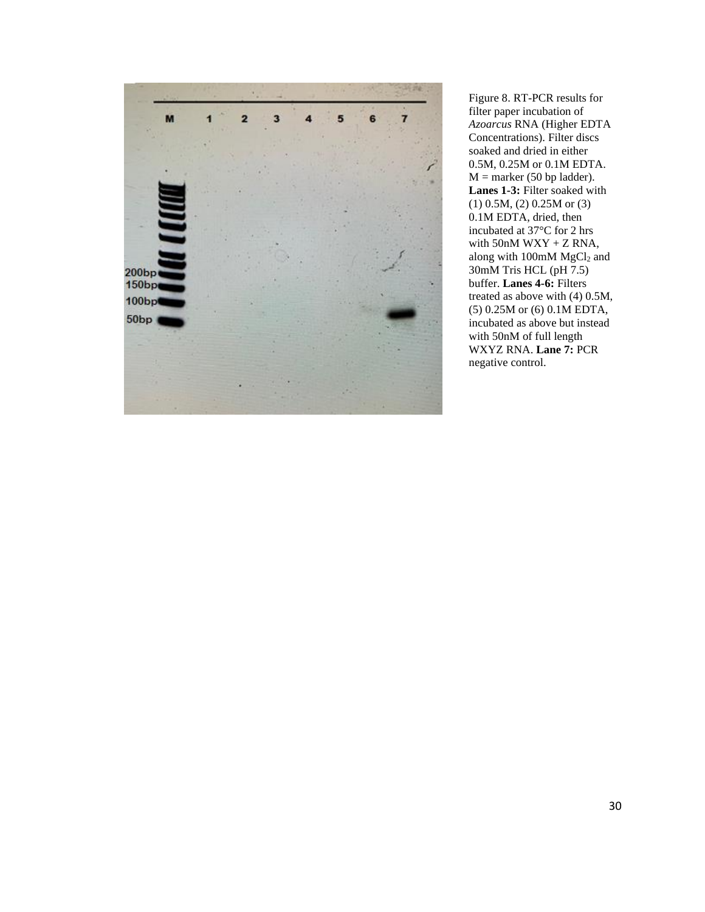

Figure 8. RT-PCR results for filter paper incubation of *Azoarcus* RNA (Higher EDTA Concentrations). Filter discs soaked and dried in either 0.5M, 0.25M or 0.1M EDTA.  $M =$  marker (50 bp ladder). Lanes 1-3: Filter soaked with (1) 0.5M, (2) 0.25M or (3) 0.1M EDTA, dried, then incubated at 37°C for 2 hrs with  $50nM$  WXY + Z RNA, along with 100mM MgCl<sub>2</sub> and 30mM Tris HCL (pH 7.5) buffer. **Lanes 4-6:** Filters treated as above with (4) 0.5M, (5) 0.25M or (6) 0.1M EDTA, incubated as above but instead with 50nM of full length WXYZ RNA. **Lane 7:** PCR negative control.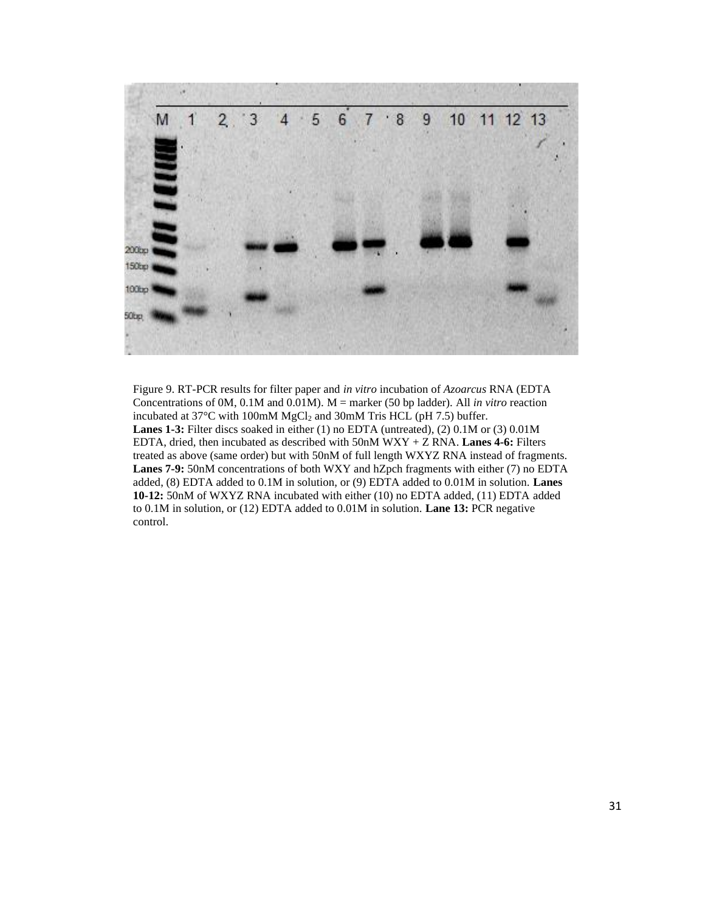

Figure 9. RT-PCR results for filter paper and *in vitro* incubation of *Azoarcus* RNA (EDTA Concentrations of 0M, 0.1M and 0.01M). M = marker (50 bp ladder). All *in vitro* reaction incubated at  $37^{\circ}$ C with 100mM MgCl<sub>2</sub> and 30mM Tris HCL (pH 7.5) buffer. **Lanes 1-3:** Filter discs soaked in either (1) no EDTA (untreated), (2) 0.1M or (3) 0.01M EDTA, dried, then incubated as described with 50nM WXY + Z RNA. **Lanes 4-6:** Filters treated as above (same order) but with 50nM of full length WXYZ RNA instead of fragments. **Lanes 7-9:** 50nM concentrations of both WXY and hZpch fragments with either (7) no EDTA added, (8) EDTA added to 0.1M in solution, or (9) EDTA added to 0.01M in solution. **Lanes 10-12:** 50nM of WXYZ RNA incubated with either (10) no EDTA added, (11) EDTA added to 0.1M in solution, or (12) EDTA added to 0.01M in solution. **Lane 13:** PCR negative control.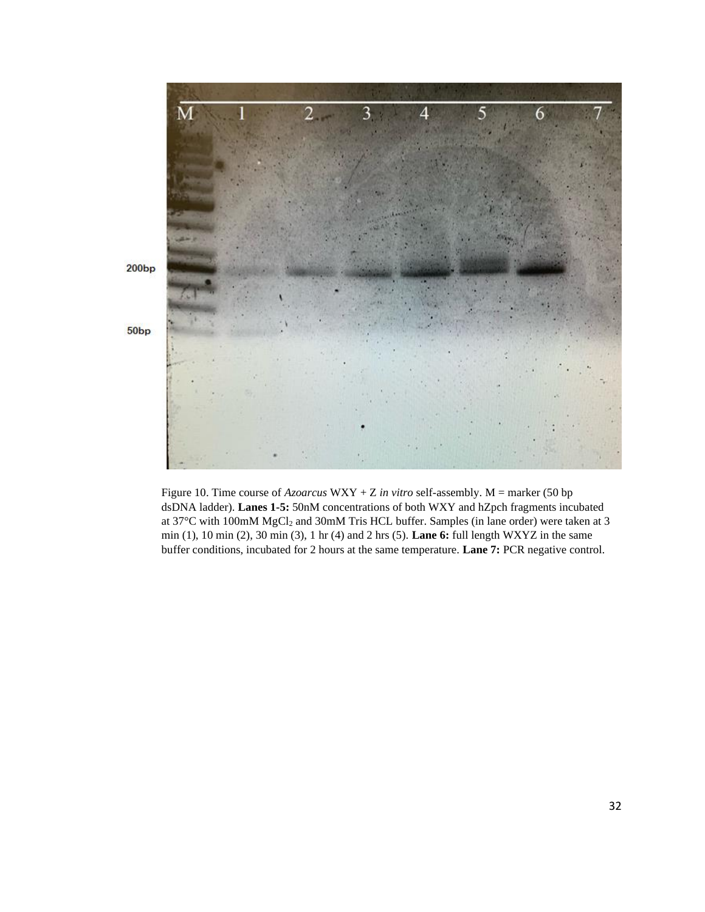

Figure 10. Time course of *Azoarcus* WXY + Z *in vitro* self-assembly. M = marker (50 bp dsDNA ladder). **Lanes 1-5:** 50nM concentrations of both WXY and hZpch fragments incubated at 37°C with 100mM MgCl<sub>2</sub> and 30mM Tris HCL buffer. Samples (in lane order) were taken at 3 min (1), 10 min (2), 30 min (3), 1 hr (4) and 2 hrs (5). **Lane 6:** full length WXYZ in the same buffer conditions, incubated for 2 hours at the same temperature. **Lane 7:** PCR negative control.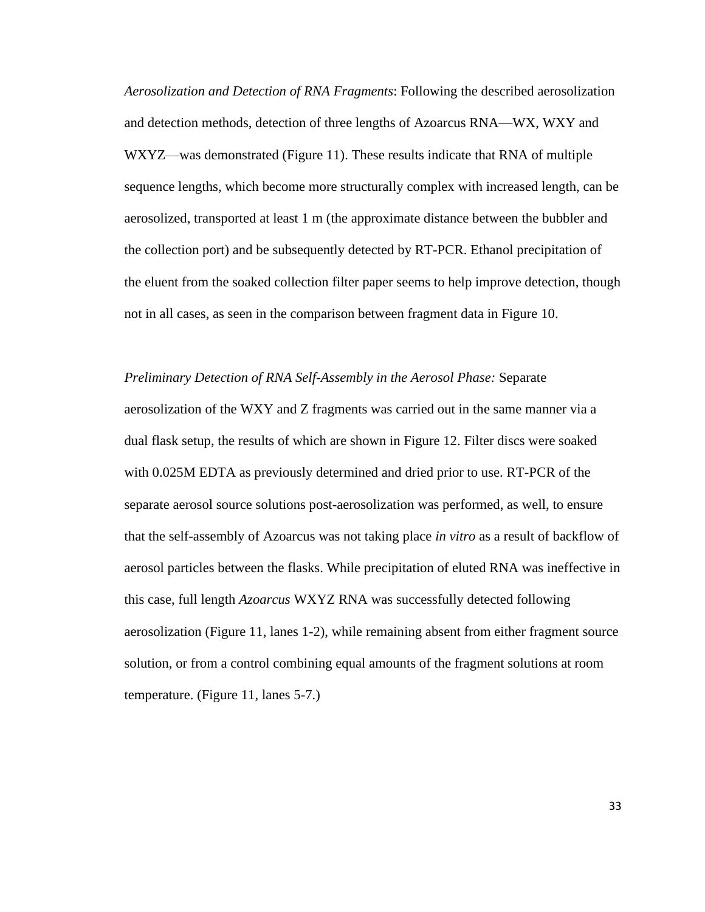*Aerosolization and Detection of RNA Fragments*: Following the described aerosolization and detection methods, detection of three lengths of Azoarcus RNA—WX, WXY and WXYZ—was demonstrated (Figure 11). These results indicate that RNA of multiple sequence lengths, which become more structurally complex with increased length, can be aerosolized, transported at least 1 m (the approximate distance between the bubbler and the collection port) and be subsequently detected by RT-PCR. Ethanol precipitation of the eluent from the soaked collection filter paper seems to help improve detection, though not in all cases, as seen in the comparison between fragment data in Figure 10.

*Preliminary Detection of RNA Self-Assembly in the Aerosol Phase:* Separate aerosolization of the WXY and Z fragments was carried out in the same manner via a dual flask setup, the results of which are shown in Figure 12. Filter discs were soaked with 0.025M EDTA as previously determined and dried prior to use. RT-PCR of the separate aerosol source solutions post-aerosolization was performed, as well, to ensure that the self-assembly of Azoarcus was not taking place *in vitro* as a result of backflow of aerosol particles between the flasks. While precipitation of eluted RNA was ineffective in this case, full length *Azoarcus* WXYZ RNA was successfully detected following aerosolization (Figure 11, lanes 1-2), while remaining absent from either fragment source solution, or from a control combining equal amounts of the fragment solutions at room temperature. (Figure 11, lanes 5-7.)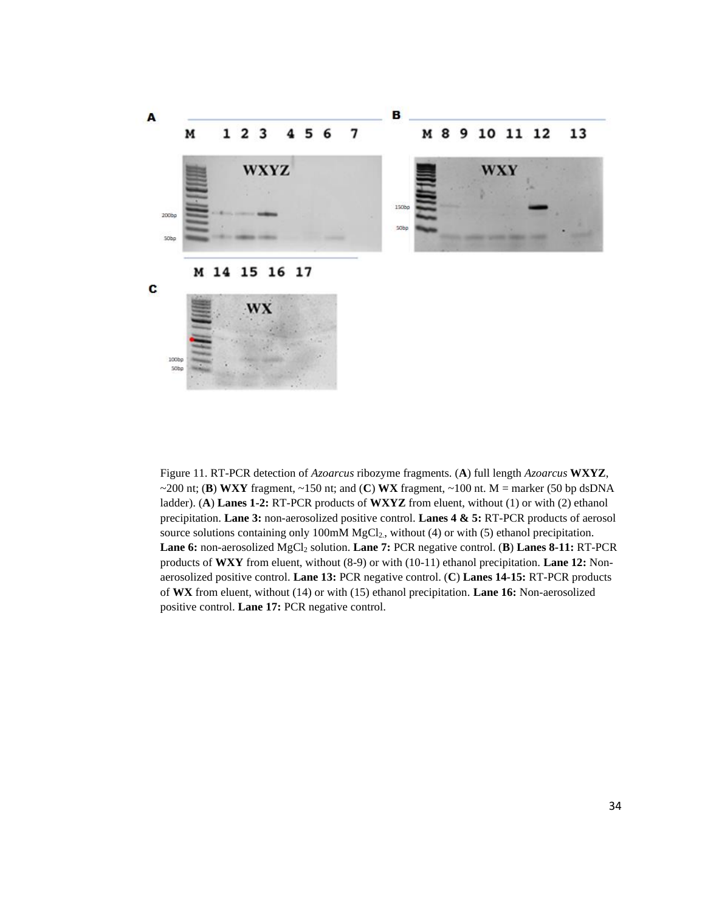

Figure 11. RT-PCR detection of *Azoarcus* ribozyme fragments. (**A**) full length *Azoarcus* **WXYZ**, ~200 nt; (**B**) **WXY** fragment, ~150 nt; and (**C**) **WX** fragment, ~100 nt. M = marker (50 bp dsDNA ladder). (**A**) **Lanes 1-2:** RT-PCR products of **WXYZ** from eluent, without (1) or with (2) ethanol precipitation. **Lane 3:** non-aerosolized positive control. **Lanes 4 & 5:** RT-PCR products of aerosol source solutions containing only 100mM MgCl<sub>2</sub>, without (4) or with (5) ethanol precipitation. **Lane 6:** non-aerosolized MgCl<sub>2</sub> solution. **Lane 7:** PCR negative control. (**B**) **Lanes 8-11:** RT-PCR products of **WXY** from eluent, without (8-9) or with (10-11) ethanol precipitation. **Lane 12:** Nonaerosolized positive control. **Lane 13:** PCR negative control. (**C**) **Lanes 14-15:** RT-PCR products of **WX** from eluent, without (14) or with (15) ethanol precipitation. **Lane 16:** Non-aerosolized positive control. **Lane 17:** PCR negative control.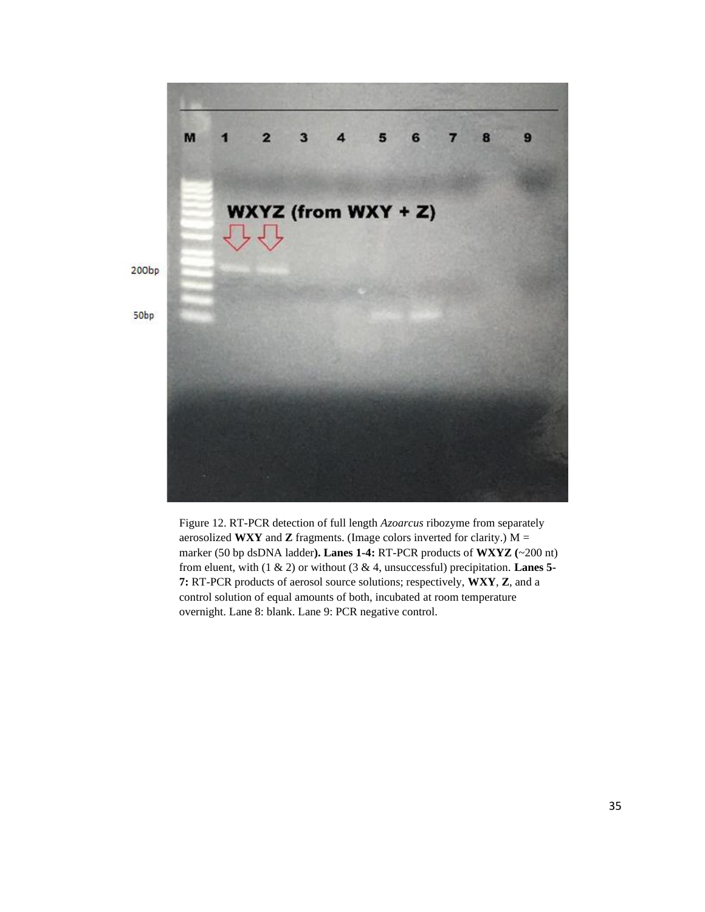

Figure 12. RT-PCR detection of full length *Azoarcus* ribozyme from separately aerosolized **WXY** and **Z** fragments. (Image colors inverted for clarity.) M = marker (50 bp dsDNA ladder**). Lanes 1-4:** RT-PCR products of **WXYZ (**~200 nt) from eluent, with (1 & 2) or without (3 & 4, unsuccessful) precipitation. **Lanes 5- 7:** RT-PCR products of aerosol source solutions; respectively, **WXY**, **Z**, and a control solution of equal amounts of both, incubated at room temperature overnight. Lane 8: blank. Lane 9: PCR negative control.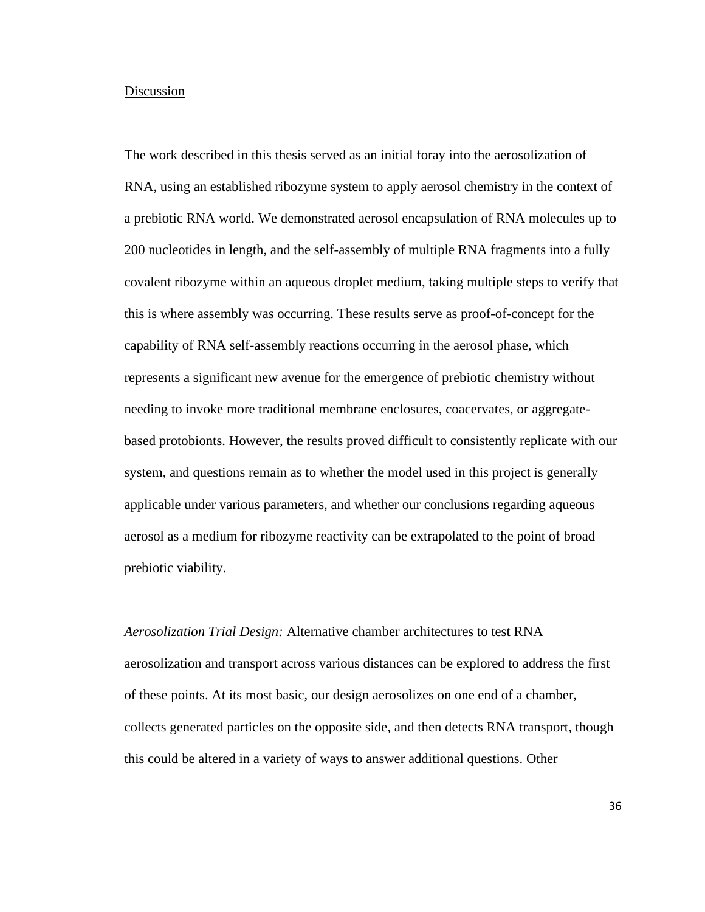#### Discussion

The work described in this thesis served as an initial foray into the aerosolization of RNA, using an established ribozyme system to apply aerosol chemistry in the context of a prebiotic RNA world. We demonstrated aerosol encapsulation of RNA molecules up to 200 nucleotides in length, and the self-assembly of multiple RNA fragments into a fully covalent ribozyme within an aqueous droplet medium, taking multiple steps to verify that this is where assembly was occurring. These results serve as proof-of-concept for the capability of RNA self-assembly reactions occurring in the aerosol phase, which represents a significant new avenue for the emergence of prebiotic chemistry without needing to invoke more traditional membrane enclosures, coacervates, or aggregatebased protobionts. However, the results proved difficult to consistently replicate with our system, and questions remain as to whether the model used in this project is generally applicable under various parameters, and whether our conclusions regarding aqueous aerosol as a medium for ribozyme reactivity can be extrapolated to the point of broad prebiotic viability.

*Aerosolization Trial Design:* Alternative chamber architectures to test RNA aerosolization and transport across various distances can be explored to address the first of these points. At its most basic, our design aerosolizes on one end of a chamber, collects generated particles on the opposite side, and then detects RNA transport, though this could be altered in a variety of ways to answer additional questions. Other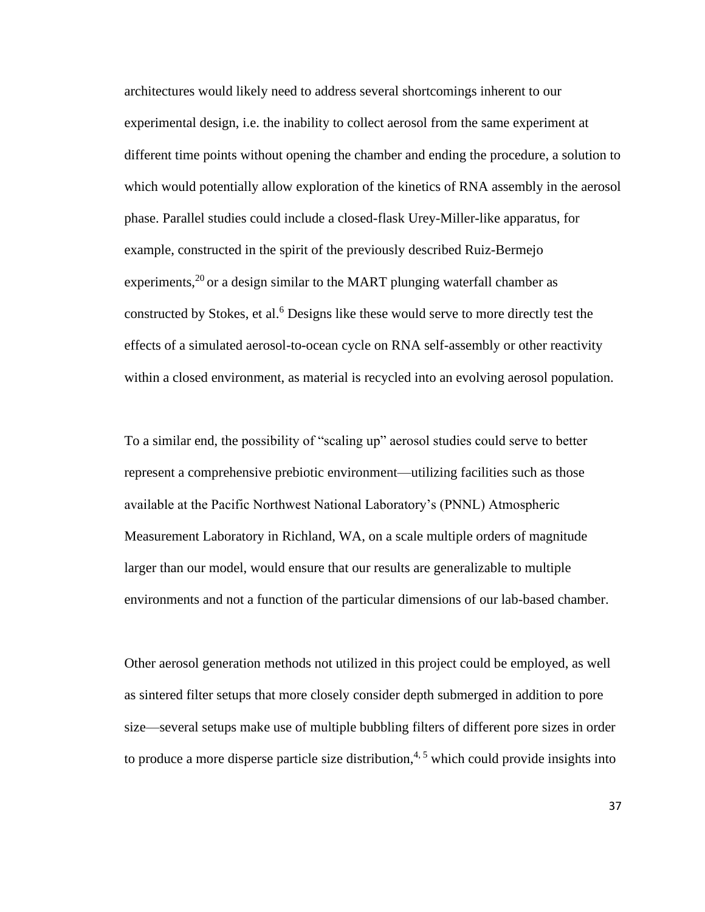architectures would likely need to address several shortcomings inherent to our experimental design, i.e. the inability to collect aerosol from the same experiment at different time points without opening the chamber and ending the procedure, a solution to which would potentially allow exploration of the kinetics of RNA assembly in the aerosol phase. Parallel studies could include a closed-flask Urey-Miller-like apparatus, for example, constructed in the spirit of the previously described Ruiz-Bermejo experiments,<sup>20</sup> or a design similar to the MART plunging waterfall chamber as constructed by Stokes, et al.<sup>6</sup> Designs like these would serve to more directly test the effects of a simulated aerosol-to-ocean cycle on RNA self-assembly or other reactivity within a closed environment, as material is recycled into an evolving aerosol population.

To a similar end, the possibility of "scaling up" aerosol studies could serve to better represent a comprehensive prebiotic environment—utilizing facilities such as those available at the Pacific Northwest National Laboratory's (PNNL) Atmospheric Measurement Laboratory in Richland, WA, on a scale multiple orders of magnitude larger than our model, would ensure that our results are generalizable to multiple environments and not a function of the particular dimensions of our lab-based chamber.

Other aerosol generation methods not utilized in this project could be employed, as well as sintered filter setups that more closely consider depth submerged in addition to pore size—several setups make use of multiple bubbling filters of different pore sizes in order to produce a more disperse particle size distribution,<sup>4,5</sup> which could provide insights into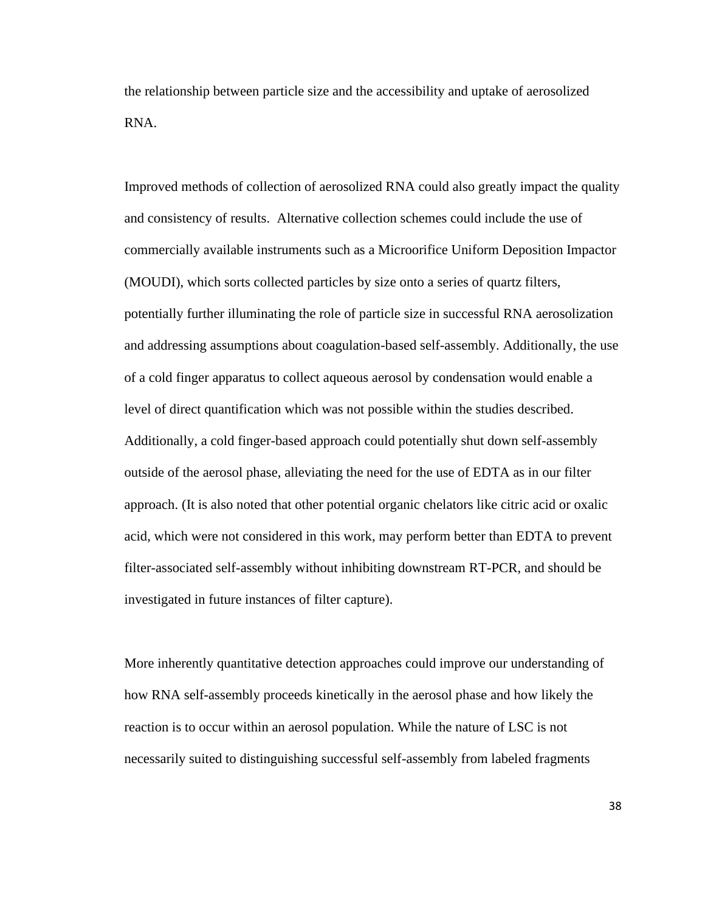the relationship between particle size and the accessibility and uptake of aerosolized RNA.

Improved methods of collection of aerosolized RNA could also greatly impact the quality and consistency of results. Alternative collection schemes could include the use of commercially available instruments such as a Microorifice Uniform Deposition Impactor (MOUDI), which sorts collected particles by size onto a series of quartz filters, potentially further illuminating the role of particle size in successful RNA aerosolization and addressing assumptions about coagulation-based self-assembly. Additionally, the use of a cold finger apparatus to collect aqueous aerosol by condensation would enable a level of direct quantification which was not possible within the studies described. Additionally, a cold finger-based approach could potentially shut down self-assembly outside of the aerosol phase, alleviating the need for the use of EDTA as in our filter approach. (It is also noted that other potential organic chelators like citric acid or oxalic acid, which were not considered in this work, may perform better than EDTA to prevent filter-associated self-assembly without inhibiting downstream RT-PCR, and should be investigated in future instances of filter capture).

More inherently quantitative detection approaches could improve our understanding of how RNA self-assembly proceeds kinetically in the aerosol phase and how likely the reaction is to occur within an aerosol population. While the nature of LSC is not necessarily suited to distinguishing successful self-assembly from labeled fragments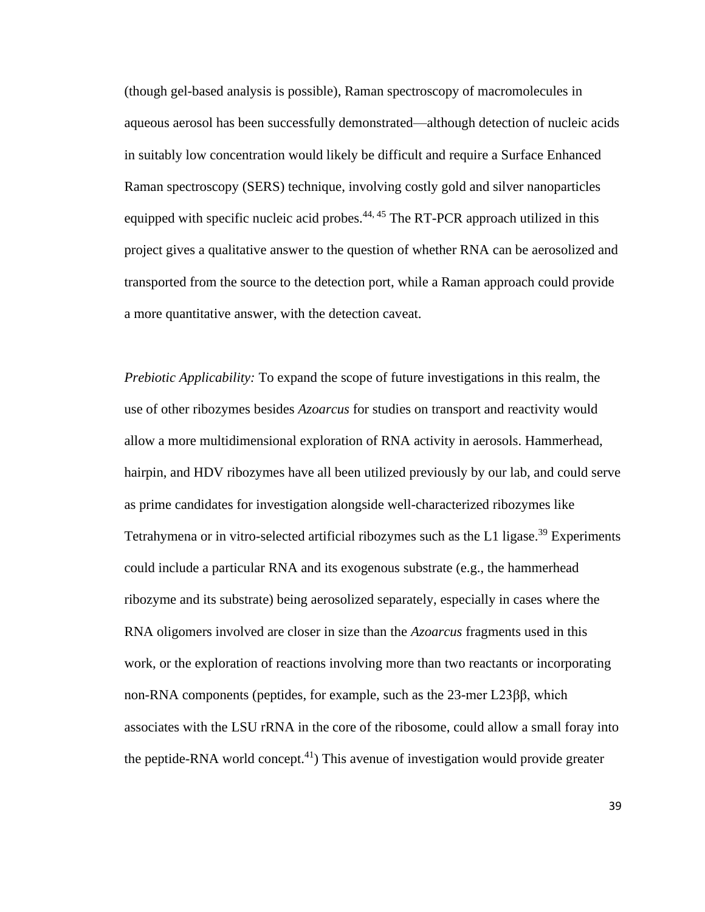(though gel-based analysis is possible), Raman spectroscopy of macromolecules in aqueous aerosol has been successfully demonstrated—although detection of nucleic acids in suitably low concentration would likely be difficult and require a Surface Enhanced Raman spectroscopy (SERS) technique, involving costly gold and silver nanoparticles equipped with specific nucleic acid probes. $44, 45$  The RT-PCR approach utilized in this project gives a qualitative answer to the question of whether RNA can be aerosolized and transported from the source to the detection port, while a Raman approach could provide a more quantitative answer, with the detection caveat.

*Prebiotic Applicability:* To expand the scope of future investigations in this realm, the use of other ribozymes besides *Azoarcus* for studies on transport and reactivity would allow a more multidimensional exploration of RNA activity in aerosols. Hammerhead, hairpin, and HDV ribozymes have all been utilized previously by our lab, and could serve as prime candidates for investigation alongside well-characterized ribozymes like Tetrahymena or in vitro-selected artificial ribozymes such as the L1 ligase.<sup>39</sup> Experiments could include a particular RNA and its exogenous substrate (e.g., the hammerhead ribozyme and its substrate) being aerosolized separately, especially in cases where the RNA oligomers involved are closer in size than the *Azoarcus* fragments used in this work, or the exploration of reactions involving more than two reactants or incorporating non-RNA components (peptides, for example, such as the 23-mer L23ββ, which associates with the LSU rRNA in the core of the ribosome, could allow a small foray into the peptide-RNA world concept.<sup>41</sup>) This avenue of investigation would provide greater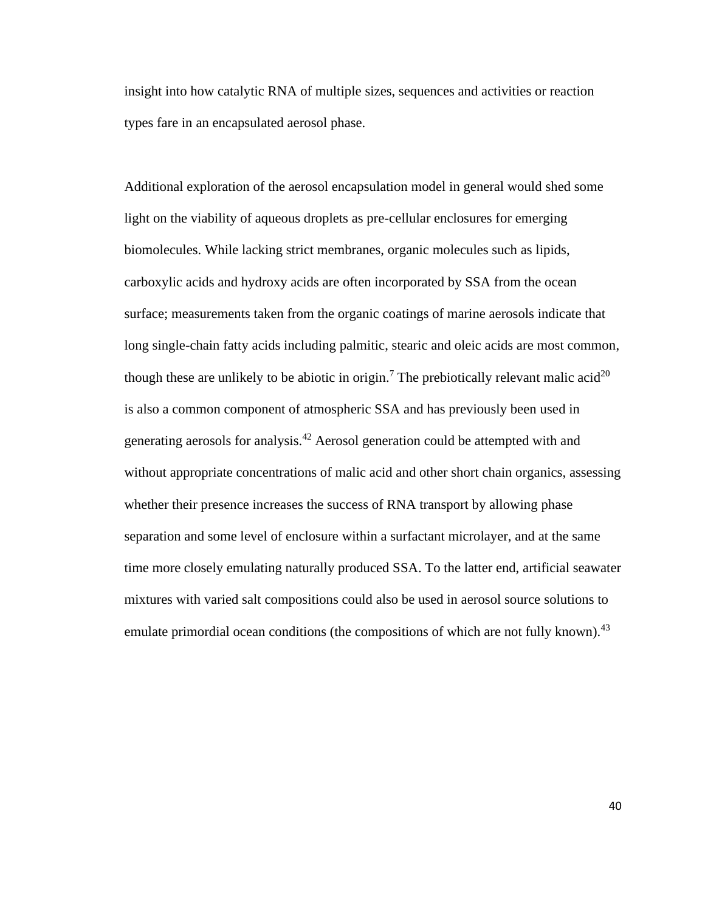insight into how catalytic RNA of multiple sizes, sequences and activities or reaction types fare in an encapsulated aerosol phase.

Additional exploration of the aerosol encapsulation model in general would shed some light on the viability of aqueous droplets as pre-cellular enclosures for emerging biomolecules. While lacking strict membranes, organic molecules such as lipids, carboxylic acids and hydroxy acids are often incorporated by SSA from the ocean surface; measurements taken from the organic coatings of marine aerosols indicate that long single-chain fatty acids including palmitic, stearic and oleic acids are most common, though these are unlikely to be abiotic in origin.<sup>7</sup> The prebiotically relevant malic acid<sup>20</sup> is also a common component of atmospheric SSA and has previously been used in generating aerosols for analysis.<sup>42</sup> Aerosol generation could be attempted with and without appropriate concentrations of malic acid and other short chain organics, assessing whether their presence increases the success of RNA transport by allowing phase separation and some level of enclosure within a surfactant microlayer, and at the same time more closely emulating naturally produced SSA. To the latter end, artificial seawater mixtures with varied salt compositions could also be used in aerosol source solutions to emulate primordial ocean conditions (the compositions of which are not fully known).<sup>43</sup>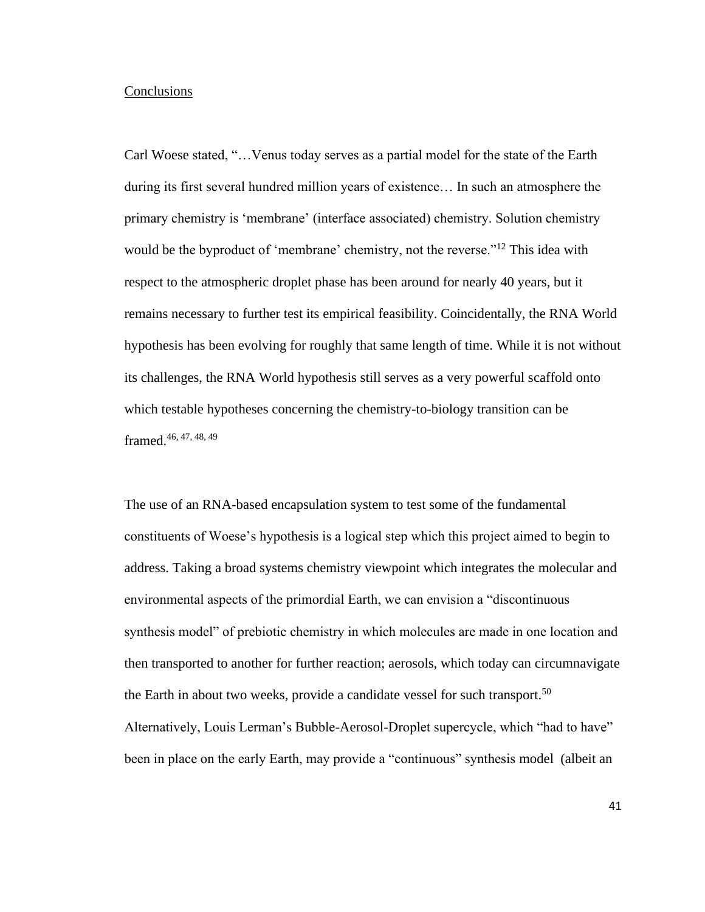#### **Conclusions**

Carl Woese stated, "…Venus today serves as a partial model for the state of the Earth during its first several hundred million years of existence… In such an atmosphere the primary chemistry is 'membrane' (interface associated) chemistry. Solution chemistry would be the byproduct of 'membrane' chemistry, not the reverse."<sup>12</sup> This idea with respect to the atmospheric droplet phase has been around for nearly 40 years, but it remains necessary to further test its empirical feasibility. Coincidentally, the RNA World hypothesis has been evolving for roughly that same length of time. While it is not without its challenges, the RNA World hypothesis still serves as a very powerful scaffold onto which testable hypotheses concerning the chemistry-to-biology transition can be framed.46, 47, 48, 49

The use of an RNA-based encapsulation system to test some of the fundamental constituents of Woese's hypothesis is a logical step which this project aimed to begin to address. Taking a broad systems chemistry viewpoint which integrates the molecular and environmental aspects of the primordial Earth, we can envision a "discontinuous synthesis model" of prebiotic chemistry in which molecules are made in one location and then transported to another for further reaction; aerosols, which today can circumnavigate the Earth in about two weeks, provide a candidate vessel for such transport.<sup>50</sup> Alternatively, Louis Lerman's Bubble-Aerosol-Droplet supercycle, which "had to have" been in place on the early Earth, may provide a "continuous" synthesis model (albeit an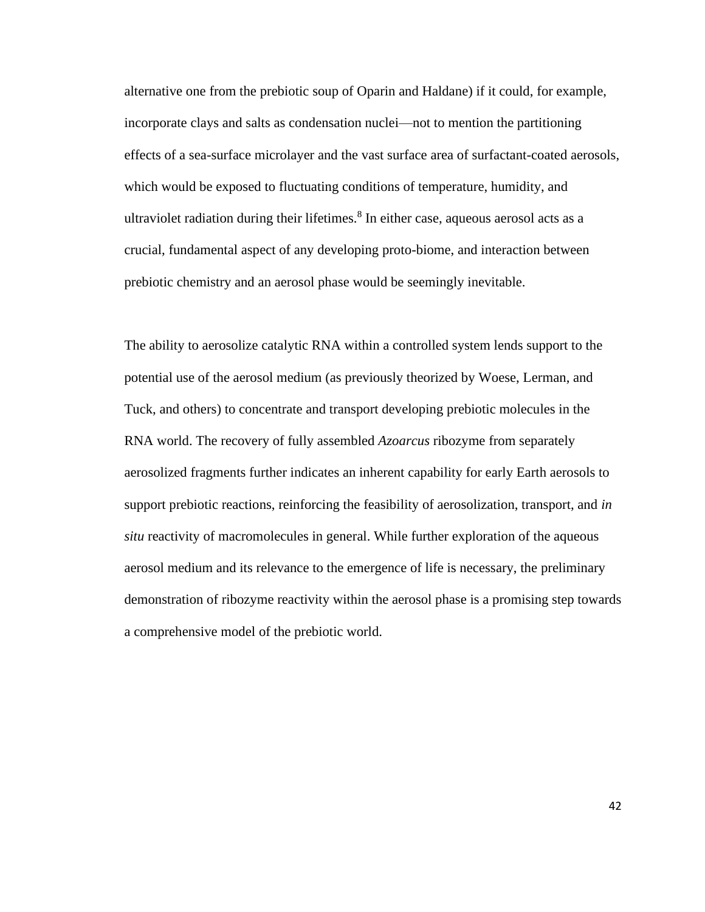alternative one from the prebiotic soup of Oparin and Haldane) if it could, for example, incorporate clays and salts as condensation nuclei—not to mention the partitioning effects of a sea-surface microlayer and the vast surface area of surfactant-coated aerosols, which would be exposed to fluctuating conditions of temperature, humidity, and ultraviolet radiation during their lifetimes.<sup>8</sup> In either case, aqueous aerosol acts as a crucial, fundamental aspect of any developing proto-biome, and interaction between prebiotic chemistry and an aerosol phase would be seemingly inevitable.

The ability to aerosolize catalytic RNA within a controlled system lends support to the potential use of the aerosol medium (as previously theorized by Woese, Lerman, and Tuck, and others) to concentrate and transport developing prebiotic molecules in the RNA world. The recovery of fully assembled *Azoarcus* ribozyme from separately aerosolized fragments further indicates an inherent capability for early Earth aerosols to support prebiotic reactions, reinforcing the feasibility of aerosolization, transport, and *in situ* reactivity of macromolecules in general. While further exploration of the aqueous aerosol medium and its relevance to the emergence of life is necessary, the preliminary demonstration of ribozyme reactivity within the aerosol phase is a promising step towards a comprehensive model of the prebiotic world.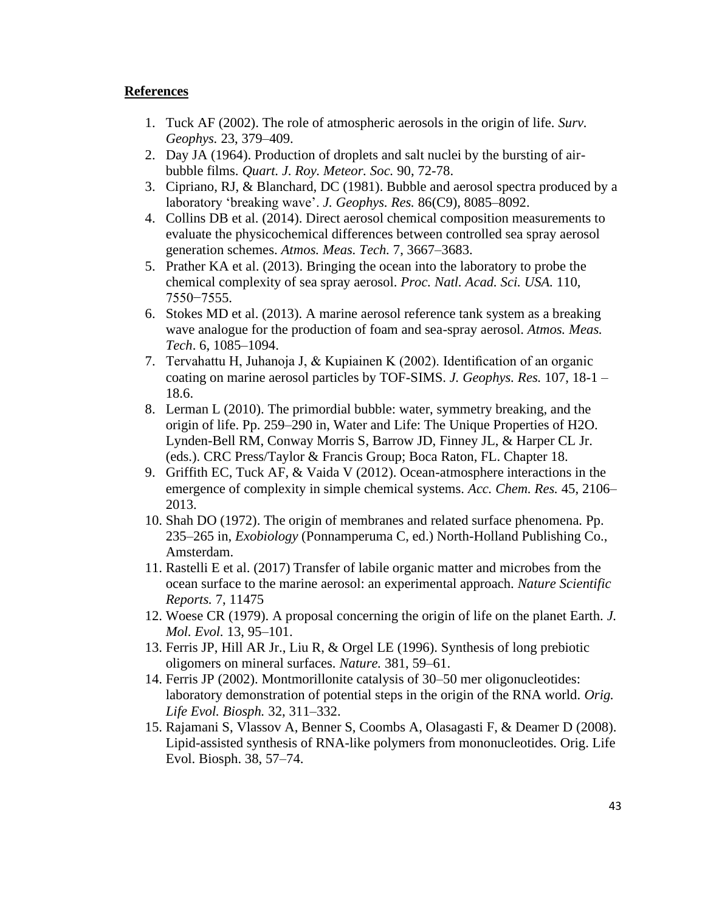## **References**

- 1. Tuck AF (2002). The role of atmospheric aerosols in the origin of life. *Surv. Geophys.* 23, 379–409.
- 2. Day JA (1964). Production of droplets and salt nuclei by the bursting of airbubble films. *Quart. J. Roy. Meteor. Soc.* 90, 72-78.
- 3. Cipriano, RJ, & Blanchard, DC (1981). Bubble and aerosol spectra produced by a laboratory 'breaking wave'. *J. Geophys. Res.* 86(C9), 8085–8092.
- 4. Collins DB et al. (2014). Direct aerosol chemical composition measurements to evaluate the physicochemical differences between controlled sea spray aerosol generation schemes. *Atmos. Meas. Tech.* 7, 3667–3683.
- 5. Prather KA et al. (2013). Bringing the ocean into the laboratory to probe the chemical complexity of sea spray aerosol. *Proc. Natl. Acad. Sci. USA.* 110, 7550−7555.
- 6. Stokes MD et al. (2013). A marine aerosol reference tank system as a breaking wave analogue for the production of foam and sea-spray aerosol. *Atmos. Meas. Tech*. 6, 1085–1094.
- 7. Tervahattu H, Juhanoja J, & Kupiainen K (2002). Identification of an organic coating on marine aerosol particles by TOF-SIMS. *J. Geophys. Res.* 107, 18-1 – 18.6.
- 8. Lerman L (2010). The primordial bubble: water, symmetry breaking, and the origin of life. Pp. 259–290 in, Water and Life: The Unique Properties of H2O. Lynden-Bell RM, Conway Morris S, Barrow JD, Finney JL, & Harper CL Jr. (eds.). CRC Press/Taylor & Francis Group; Boca Raton, FL. Chapter 18.
- 9. Griffith EC, Tuck AF, & Vaida V (2012). Ocean-atmosphere interactions in the emergence of complexity in simple chemical systems. *Acc. Chem. Res.* 45, 2106– 2013.
- 10. Shah DO (1972). The origin of membranes and related surface phenomena. Pp. 235–265 in, *Exobiology* (Ponnamperuma C, ed.) North-Holland Publishing Co., Amsterdam.
- 11. Rastelli E et al. (2017) Transfer of labile organic matter and microbes from the ocean surface to the marine aerosol: an experimental approach. *Nature Scientific Reports.* 7, 11475
- 12. Woese CR (1979). A proposal concerning the origin of life on the planet Earth. *J. Mol. Evol.* 13, 95–101.
- 13. Ferris JP, Hill AR Jr., Liu R, & Orgel LE (1996). Synthesis of long prebiotic oligomers on mineral surfaces. *Nature.* 381, 59–61.
- 14. Ferris JP (2002). Montmorillonite catalysis of 30–50 mer oligonucleotides: laboratory demonstration of potential steps in the origin of the RNA world. *Orig. Life Evol. Biosph.* 32, 311–332.
- 15. Rajamani S, Vlassov A, Benner S, Coombs A, Olasagasti F, & Deamer D (2008). Lipid-assisted synthesis of RNA-like polymers from mononucleotides. Orig. Life Evol. Biosph. 38, 57–74.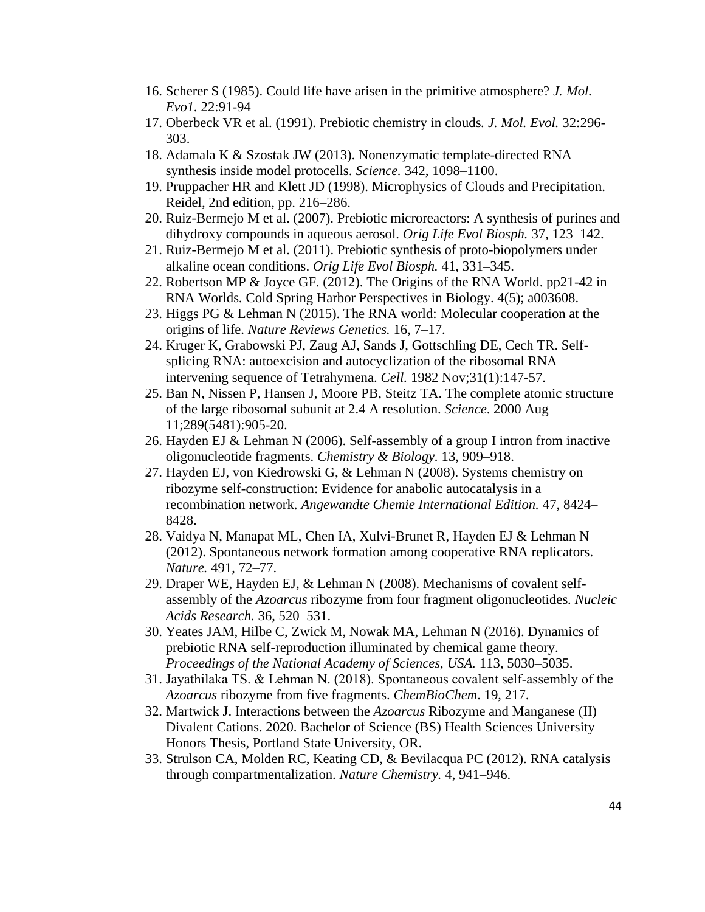- 16. Scherer S (1985). Could life have arisen in the primitive atmosphere? *J. Mol. Evo1.* 22:91-94
- 17. Oberbeck VR et al. (1991). Prebiotic chemistry in clouds*. J. Mol. Evol.* 32:296- 303.
- 18. Adamala K & Szostak JW (2013). Nonenzymatic template-directed RNA synthesis inside model protocells. *Science.* 342, 1098–1100.
- 19. Pruppacher HR and Klett JD (1998). Microphysics of Clouds and Precipitation. Reidel, 2nd edition, pp. 216–286.
- 20. Ruiz-Bermejo M et al. (2007). Prebiotic microreactors: A synthesis of purines and dihydroxy compounds in aqueous aerosol. *Orig Life Evol Biosph.* 37, 123–142.
- 21. Ruiz-Bermejo M et al. (2011). Prebiotic synthesis of proto-biopolymers under alkaline ocean conditions. *Orig Life Evol Biosph.* 41, 331–345.
- 22. Robertson MP & Joyce GF. (2012). The Origins of the RNA World. pp21-42 in RNA Worlds*.* Cold Spring Harbor Perspectives in Biology. 4(5); a003608.
- 23. Higgs PG & Lehman N (2015). The RNA world: Molecular cooperation at the origins of life. *Nature Reviews Genetics.* 16, 7–17.
- 24. Kruger K, Grabowski PJ, Zaug AJ, Sands J, Gottschling DE, Cech TR. Selfsplicing RNA: autoexcision and autocyclization of the ribosomal RNA intervening sequence of Tetrahymena. *Cell.* 1982 Nov;31(1):147-57.
- 25. Ban N, Nissen P, Hansen J, Moore PB, Steitz TA. The complete atomic structure of the large ribosomal subunit at 2.4 A resolution. *Science*. 2000 Aug 11;289(5481):905-20.
- 26. Hayden EJ & Lehman N (2006). Self-assembly of a group I intron from inactive oligonucleotide fragments. *Chemistry & Biology.* 13, 909–918.
- 27. Hayden EJ, von Kiedrowski G, & Lehman N (2008). Systems chemistry on ribozyme self-construction: Evidence for anabolic autocatalysis in a recombination network. *Angewandte Chemie International Edition.* 47, 8424– 8428.
- 28. Vaidya N, Manapat ML, Chen IA, Xulvi-Brunet R, Hayden EJ & Lehman N (2012). Spontaneous network formation among cooperative RNA replicators. *Nature.* 491, 72–77.
- 29. Draper WE, Hayden EJ, & Lehman N (2008). Mechanisms of covalent selfassembly of the *Azoarcus* ribozyme from four fragment oligonucleotides*. Nucleic Acids Research.* 36, 520–531.
- 30. Yeates JAM, Hilbe C, Zwick M, Nowak MA, Lehman N (2016). Dynamics of prebiotic RNA self-reproduction illuminated by chemical game theory. *Proceedings of the National Academy of Sciences, USA.* 113, 5030–5035.
- 31. Jayathilaka TS. & Lehman N. (2018). Spontaneous covalent self‐assembly of the *Azoarcus* ribozyme from five fragments. *ChemBioChem*. 19, 217.
- 32. Martwick J. Interactions between the *Azoarcus* Ribozyme and Manganese (II) Divalent Cations. 2020. Bachelor of Science (BS) Health Sciences University Honors Thesis, Portland State University, OR.
- 33. Strulson CA, Molden RC, Keating CD, & Bevilacqua PC (2012). RNA catalysis through compartmentalization. *Nature Chemistry.* 4, 941–946.